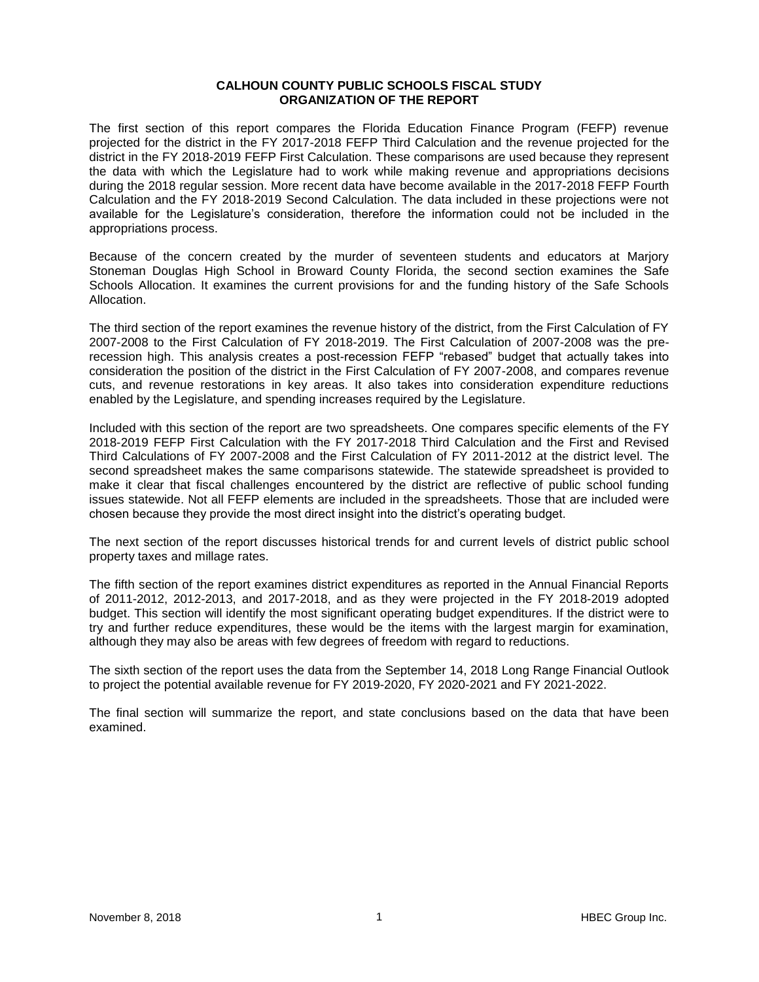### **CALHOUN COUNTY PUBLIC SCHOOLS FISCAL STUDY ORGANIZATION OF THE REPORT**

The first section of this report compares the Florida Education Finance Program (FEFP) revenue projected for the district in the FY 2017-2018 FEFP Third Calculation and the revenue projected for the district in the FY 2018-2019 FEFP First Calculation. These comparisons are used because they represent the data with which the Legislature had to work while making revenue and appropriations decisions during the 2018 regular session. More recent data have become available in the 2017-2018 FEFP Fourth Calculation and the FY 2018-2019 Second Calculation. The data included in these projections were not available for the Legislature's consideration, therefore the information could not be included in the appropriations process.

Because of the concern created by the murder of seventeen students and educators at Marjory Stoneman Douglas High School in Broward County Florida, the second section examines the Safe Schools Allocation. It examines the current provisions for and the funding history of the Safe Schools Allocation.

The third section of the report examines the revenue history of the district, from the First Calculation of FY 2007-2008 to the First Calculation of FY 2018-2019. The First Calculation of 2007-2008 was the prerecession high. This analysis creates a post-recession FEFP "rebased" budget that actually takes into consideration the position of the district in the First Calculation of FY 2007-2008, and compares revenue cuts, and revenue restorations in key areas. It also takes into consideration expenditure reductions enabled by the Legislature, and spending increases required by the Legislature.

Included with this section of the report are two spreadsheets. One compares specific elements of the FY 2018-2019 FEFP First Calculation with the FY 2017-2018 Third Calculation and the First and Revised Third Calculations of FY 2007-2008 and the First Calculation of FY 2011-2012 at the district level. The second spreadsheet makes the same comparisons statewide. The statewide spreadsheet is provided to make it clear that fiscal challenges encountered by the district are reflective of public school funding issues statewide. Not all FEFP elements are included in the spreadsheets. Those that are included were chosen because they provide the most direct insight into the district's operating budget.

The next section of the report discusses historical trends for and current levels of district public school property taxes and millage rates.

The fifth section of the report examines district expenditures as reported in the Annual Financial Reports of 2011-2012, 2012-2013, and 2017-2018, and as they were projected in the FY 2018-2019 adopted budget. This section will identify the most significant operating budget expenditures. If the district were to try and further reduce expenditures, these would be the items with the largest margin for examination, although they may also be areas with few degrees of freedom with regard to reductions.

The sixth section of the report uses the data from the September 14, 2018 Long Range Financial Outlook to project the potential available revenue for FY 2019-2020, FY 2020-2021 and FY 2021-2022.

The final section will summarize the report, and state conclusions based on the data that have been examined.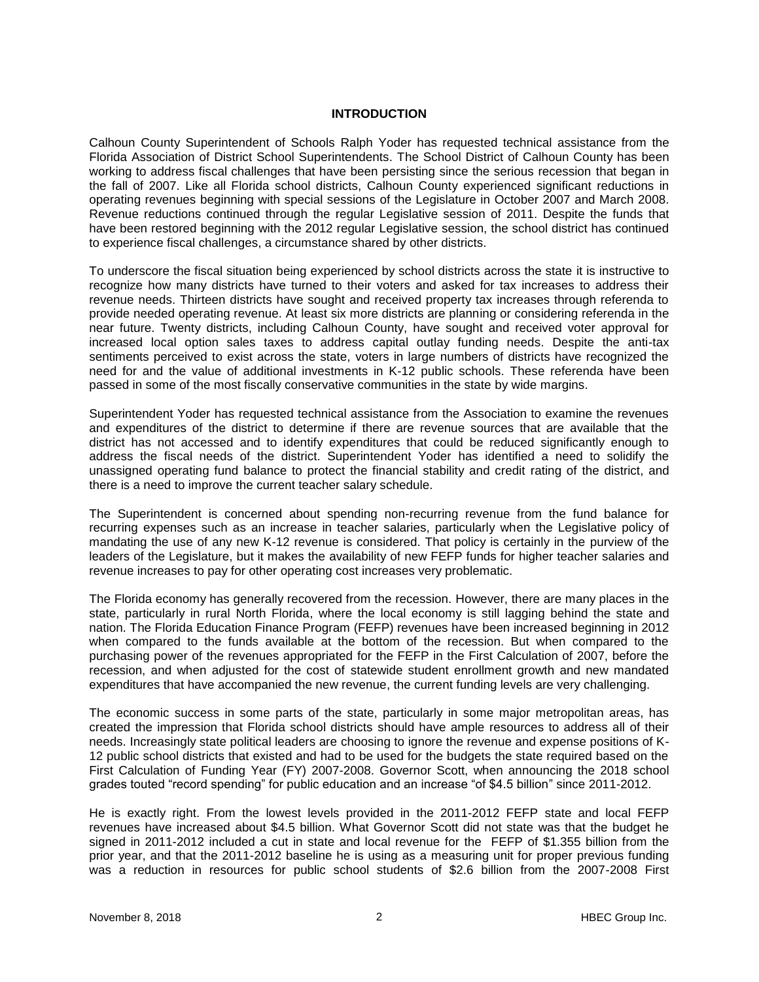### **INTRODUCTION**

Calhoun County Superintendent of Schools Ralph Yoder has requested technical assistance from the Florida Association of District School Superintendents. The School District of Calhoun County has been working to address fiscal challenges that have been persisting since the serious recession that began in the fall of 2007. Like all Florida school districts, Calhoun County experienced significant reductions in operating revenues beginning with special sessions of the Legislature in October 2007 and March 2008. Revenue reductions continued through the regular Legislative session of 2011. Despite the funds that have been restored beginning with the 2012 regular Legislative session, the school district has continued to experience fiscal challenges, a circumstance shared by other districts.

To underscore the fiscal situation being experienced by school districts across the state it is instructive to recognize how many districts have turned to their voters and asked for tax increases to address their revenue needs. Thirteen districts have sought and received property tax increases through referenda to provide needed operating revenue. At least six more districts are planning or considering referenda in the near future. Twenty districts, including Calhoun County, have sought and received voter approval for increased local option sales taxes to address capital outlay funding needs. Despite the anti-tax sentiments perceived to exist across the state, voters in large numbers of districts have recognized the need for and the value of additional investments in K-12 public schools. These referenda have been passed in some of the most fiscally conservative communities in the state by wide margins.

Superintendent Yoder has requested technical assistance from the Association to examine the revenues and expenditures of the district to determine if there are revenue sources that are available that the district has not accessed and to identify expenditures that could be reduced significantly enough to address the fiscal needs of the district. Superintendent Yoder has identified a need to solidify the unassigned operating fund balance to protect the financial stability and credit rating of the district, and there is a need to improve the current teacher salary schedule.

The Superintendent is concerned about spending non-recurring revenue from the fund balance for recurring expenses such as an increase in teacher salaries, particularly when the Legislative policy of mandating the use of any new K-12 revenue is considered. That policy is certainly in the purview of the leaders of the Legislature, but it makes the availability of new FEFP funds for higher teacher salaries and revenue increases to pay for other operating cost increases very problematic.

The Florida economy has generally recovered from the recession. However, there are many places in the state, particularly in rural North Florida, where the local economy is still lagging behind the state and nation. The Florida Education Finance Program (FEFP) revenues have been increased beginning in 2012 when compared to the funds available at the bottom of the recession. But when compared to the purchasing power of the revenues appropriated for the FEFP in the First Calculation of 2007, before the recession, and when adjusted for the cost of statewide student enrollment growth and new mandated expenditures that have accompanied the new revenue, the current funding levels are very challenging.

The economic success in some parts of the state, particularly in some major metropolitan areas, has created the impression that Florida school districts should have ample resources to address all of their needs. Increasingly state political leaders are choosing to ignore the revenue and expense positions of K-12 public school districts that existed and had to be used for the budgets the state required based on the First Calculation of Funding Year (FY) 2007-2008. Governor Scott, when announcing the 2018 school grades touted "record spending" for public education and an increase "of \$4.5 billion" since 2011-2012.

He is exactly right. From the lowest levels provided in the 2011-2012 FEFP state and local FEFP revenues have increased about \$4.5 billion. What Governor Scott did not state was that the budget he signed in 2011-2012 included a cut in state and local revenue for the FEFP of \$1.355 billion from the prior year, and that the 2011-2012 baseline he is using as a measuring unit for proper previous funding was a reduction in resources for public school students of \$2.6 billion from the 2007-2008 First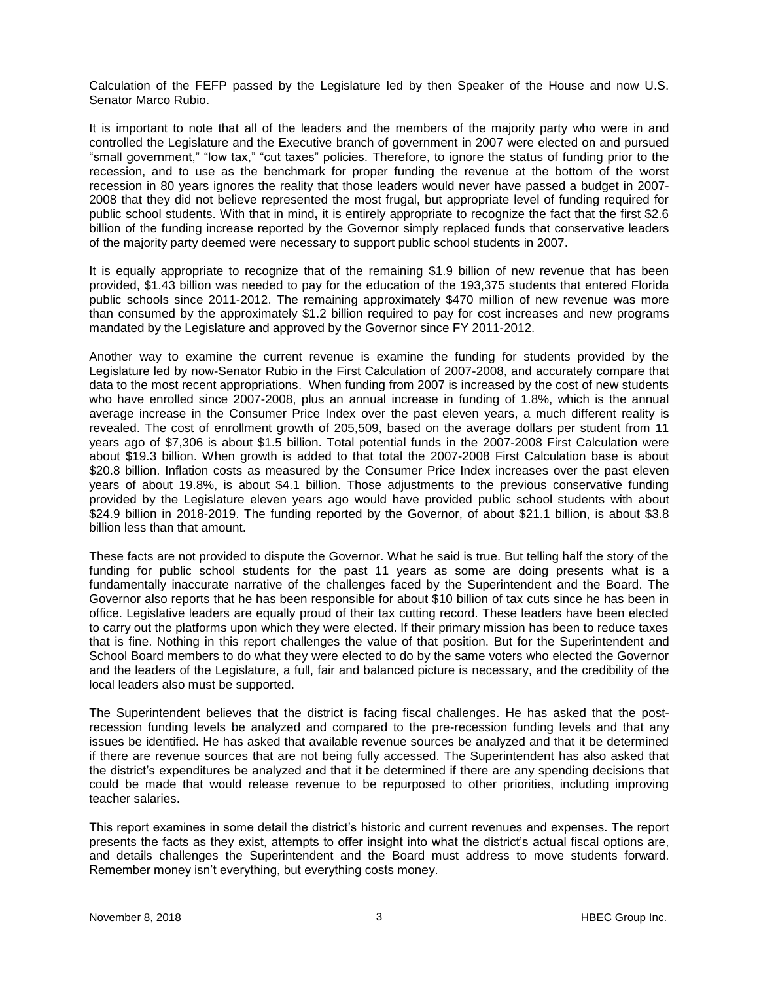Calculation of the FEFP passed by the Legislature led by then Speaker of the House and now U.S. Senator Marco Rubio.

It is important to note that all of the leaders and the members of the majority party who were in and controlled the Legislature and the Executive branch of government in 2007 were elected on and pursued "small government," "low tax," "cut taxes" policies. Therefore, to ignore the status of funding prior to the recession, and to use as the benchmark for proper funding the revenue at the bottom of the worst recession in 80 years ignores the reality that those leaders would never have passed a budget in 2007- 2008 that they did not believe represented the most frugal, but appropriate level of funding required for public school students. With that in mind**,** it is entirely appropriate to recognize the fact that the first \$2.6 billion of the funding increase reported by the Governor simply replaced funds that conservative leaders of the majority party deemed were necessary to support public school students in 2007.

It is equally appropriate to recognize that of the remaining \$1.9 billion of new revenue that has been provided, \$1.43 billion was needed to pay for the education of the 193,375 students that entered Florida public schools since 2011-2012. The remaining approximately \$470 million of new revenue was more than consumed by the approximately \$1.2 billion required to pay for cost increases and new programs mandated by the Legislature and approved by the Governor since FY 2011-2012.

Another way to examine the current revenue is examine the funding for students provided by the Legislature led by now-Senator Rubio in the First Calculation of 2007-2008, and accurately compare that data to the most recent appropriations. When funding from 2007 is increased by the cost of new students who have enrolled since 2007-2008, plus an annual increase in funding of 1.8%, which is the annual average increase in the Consumer Price Index over the past eleven years, a much different reality is revealed. The cost of enrollment growth of 205,509, based on the average dollars per student from 11 years ago of \$7,306 is about \$1.5 billion. Total potential funds in the 2007-2008 First Calculation were about \$19.3 billion. When growth is added to that total the 2007-2008 First Calculation base is about \$20.8 billion. Inflation costs as measured by the Consumer Price Index increases over the past eleven years of about 19.8%, is about \$4.1 billion. Those adjustments to the previous conservative funding provided by the Legislature eleven years ago would have provided public school students with about \$24.9 billion in 2018-2019. The funding reported by the Governor, of about \$21.1 billion, is about \$3.8 billion less than that amount.

These facts are not provided to dispute the Governor. What he said is true. But telling half the story of the funding for public school students for the past 11 years as some are doing presents what is a fundamentally inaccurate narrative of the challenges faced by the Superintendent and the Board. The Governor also reports that he has been responsible for about \$10 billion of tax cuts since he has been in office. Legislative leaders are equally proud of their tax cutting record. These leaders have been elected to carry out the platforms upon which they were elected. If their primary mission has been to reduce taxes that is fine. Nothing in this report challenges the value of that position. But for the Superintendent and School Board members to do what they were elected to do by the same voters who elected the Governor and the leaders of the Legislature, a full, fair and balanced picture is necessary, and the credibility of the local leaders also must be supported.

The Superintendent believes that the district is facing fiscal challenges. He has asked that the postrecession funding levels be analyzed and compared to the pre-recession funding levels and that any issues be identified. He has asked that available revenue sources be analyzed and that it be determined if there are revenue sources that are not being fully accessed. The Superintendent has also asked that the district's expenditures be analyzed and that it be determined if there are any spending decisions that could be made that would release revenue to be repurposed to other priorities, including improving teacher salaries.

This report examines in some detail the district's historic and current revenues and expenses. The report presents the facts as they exist, attempts to offer insight into what the district's actual fiscal options are, and details challenges the Superintendent and the Board must address to move students forward. Remember money isn't everything, but everything costs money.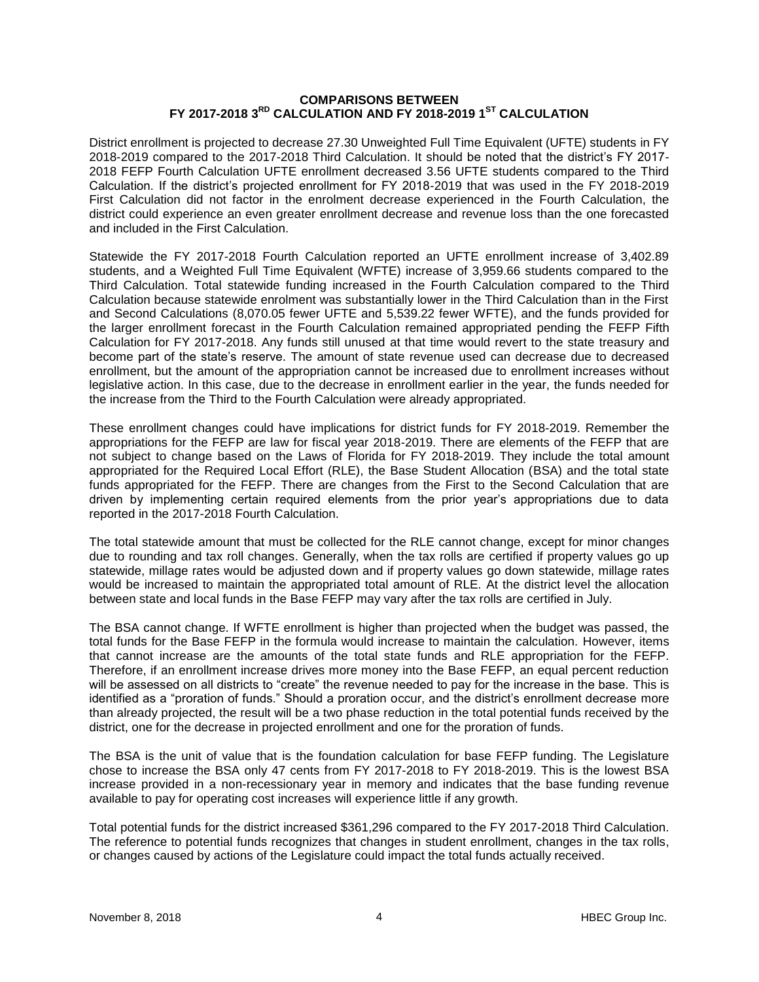### **COMPARISONS BETWEEN FY 2017-2018 3RD CALCULATION AND FY 2018-2019 1ST CALCULATION**

District enrollment is projected to decrease 27.30 Unweighted Full Time Equivalent (UFTE) students in FY 2018-2019 compared to the 2017-2018 Third Calculation. It should be noted that the district's FY 2017- 2018 FEFP Fourth Calculation UFTE enrollment decreased 3.56 UFTE students compared to the Third Calculation. If the district's projected enrollment for FY 2018-2019 that was used in the FY 2018-2019 First Calculation did not factor in the enrolment decrease experienced in the Fourth Calculation, the district could experience an even greater enrollment decrease and revenue loss than the one forecasted and included in the First Calculation.

Statewide the FY 2017-2018 Fourth Calculation reported an UFTE enrollment increase of 3,402.89 students, and a Weighted Full Time Equivalent (WFTE) increase of 3,959.66 students compared to the Third Calculation. Total statewide funding increased in the Fourth Calculation compared to the Third Calculation because statewide enrolment was substantially lower in the Third Calculation than in the First and Second Calculations (8,070.05 fewer UFTE and 5,539.22 fewer WFTE), and the funds provided for the larger enrollment forecast in the Fourth Calculation remained appropriated pending the FEFP Fifth Calculation for FY 2017-2018. Any funds still unused at that time would revert to the state treasury and become part of the state's reserve. The amount of state revenue used can decrease due to decreased enrollment, but the amount of the appropriation cannot be increased due to enrollment increases without legislative action. In this case, due to the decrease in enrollment earlier in the year, the funds needed for the increase from the Third to the Fourth Calculation were already appropriated.

These enrollment changes could have implications for district funds for FY 2018-2019. Remember the appropriations for the FEFP are law for fiscal year 2018-2019. There are elements of the FEFP that are not subject to change based on the Laws of Florida for FY 2018-2019. They include the total amount appropriated for the Required Local Effort (RLE), the Base Student Allocation (BSA) and the total state funds appropriated for the FEFP. There are changes from the First to the Second Calculation that are driven by implementing certain required elements from the prior year's appropriations due to data reported in the 2017-2018 Fourth Calculation.

The total statewide amount that must be collected for the RLE cannot change, except for minor changes due to rounding and tax roll changes. Generally, when the tax rolls are certified if property values go up statewide, millage rates would be adjusted down and if property values go down statewide, millage rates would be increased to maintain the appropriated total amount of RLE. At the district level the allocation between state and local funds in the Base FEFP may vary after the tax rolls are certified in July.

The BSA cannot change. If WFTE enrollment is higher than projected when the budget was passed, the total funds for the Base FEFP in the formula would increase to maintain the calculation. However, items that cannot increase are the amounts of the total state funds and RLE appropriation for the FEFP. Therefore, if an enrollment increase drives more money into the Base FEFP, an equal percent reduction will be assessed on all districts to "create" the revenue needed to pay for the increase in the base. This is identified as a "proration of funds." Should a proration occur, and the district's enrollment decrease more than already projected, the result will be a two phase reduction in the total potential funds received by the district, one for the decrease in projected enrollment and one for the proration of funds.

The BSA is the unit of value that is the foundation calculation for base FEFP funding. The Legislature chose to increase the BSA only 47 cents from FY 2017-2018 to FY 2018-2019. This is the lowest BSA increase provided in a non-recessionary year in memory and indicates that the base funding revenue available to pay for operating cost increases will experience little if any growth.

Total potential funds for the district increased \$361,296 compared to the FY 2017-2018 Third Calculation. The reference to potential funds recognizes that changes in student enrollment, changes in the tax rolls, or changes caused by actions of the Legislature could impact the total funds actually received.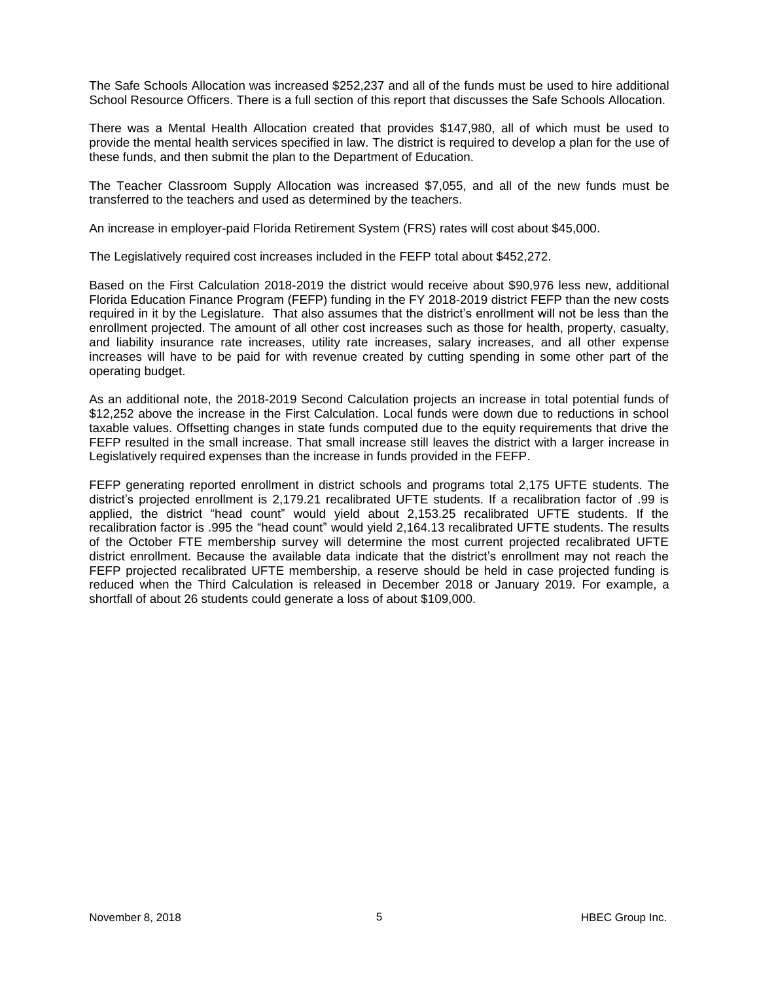The Safe Schools Allocation was increased \$252,237 and all of the funds must be used to hire additional School Resource Officers. There is a full section of this report that discusses the Safe Schools Allocation.

There was a Mental Health Allocation created that provides \$147,980, all of which must be used to provide the mental health services specified in law. The district is required to develop a plan for the use of these funds, and then submit the plan to the Department of Education.

The Teacher Classroom Supply Allocation was increased \$7,055, and all of the new funds must be transferred to the teachers and used as determined by the teachers.

An increase in employer-paid Florida Retirement System (FRS) rates will cost about \$45,000.

The Legislatively required cost increases included in the FEFP total about \$452,272.

Based on the First Calculation 2018-2019 the district would receive about \$90,976 less new, additional Florida Education Finance Program (FEFP) funding in the FY 2018-2019 district FEFP than the new costs required in it by the Legislature. That also assumes that the district's enrollment will not be less than the enrollment projected. The amount of all other cost increases such as those for health, property, casualty, and liability insurance rate increases, utility rate increases, salary increases, and all other expense increases will have to be paid for with revenue created by cutting spending in some other part of the operating budget.

As an additional note, the 2018-2019 Second Calculation projects an increase in total potential funds of \$12,252 above the increase in the First Calculation. Local funds were down due to reductions in school taxable values. Offsetting changes in state funds computed due to the equity requirements that drive the FEFP resulted in the small increase. That small increase still leaves the district with a larger increase in Legislatively required expenses than the increase in funds provided in the FEFP.

FEFP generating reported enrollment in district schools and programs total 2,175 UFTE students. The district's projected enrollment is 2,179.21 recalibrated UFTE students. If a recalibration factor of .99 is applied, the district "head count" would yield about 2,153.25 recalibrated UFTE students. If the recalibration factor is .995 the "head count" would yield 2,164.13 recalibrated UFTE students. The results of the October FTE membership survey will determine the most current projected recalibrated UFTE district enrollment. Because the available data indicate that the district's enrollment may not reach the FEFP projected recalibrated UFTE membership, a reserve should be held in case projected funding is reduced when the Third Calculation is released in December 2018 or January 2019. For example, a shortfall of about 26 students could generate a loss of about \$109,000.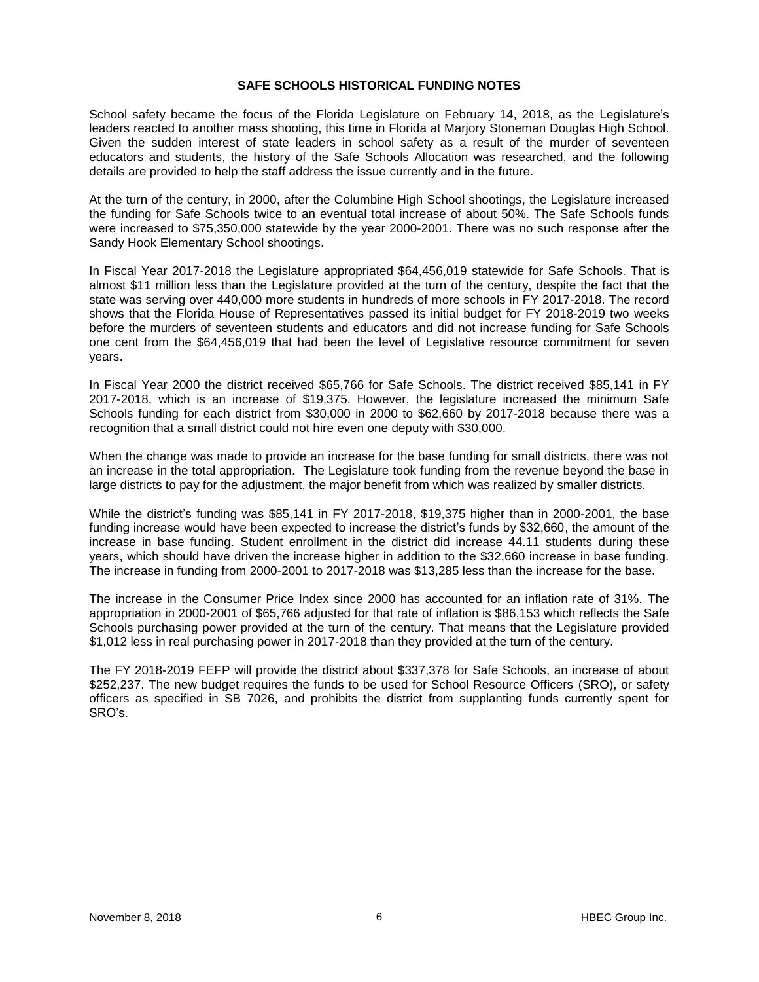## **SAFE SCHOOLS HISTORICAL FUNDING NOTES**

School safety became the focus of the Florida Legislature on February 14, 2018, as the Legislature's leaders reacted to another mass shooting, this time in Florida at Marjory Stoneman Douglas High School. Given the sudden interest of state leaders in school safety as a result of the murder of seventeen educators and students, the history of the Safe Schools Allocation was researched, and the following details are provided to help the staff address the issue currently and in the future.

At the turn of the century, in 2000, after the Columbine High School shootings, the Legislature increased the funding for Safe Schools twice to an eventual total increase of about 50%. The Safe Schools funds were increased to \$75,350,000 statewide by the year 2000-2001. There was no such response after the Sandy Hook Elementary School shootings.

In Fiscal Year 2017-2018 the Legislature appropriated \$64,456,019 statewide for Safe Schools. That is almost \$11 million less than the Legislature provided at the turn of the century, despite the fact that the state was serving over 440,000 more students in hundreds of more schools in FY 2017-2018. The record shows that the Florida House of Representatives passed its initial budget for FY 2018-2019 two weeks before the murders of seventeen students and educators and did not increase funding for Safe Schools one cent from the \$64,456,019 that had been the level of Legislative resource commitment for seven years.

In Fiscal Year 2000 the district received \$65,766 for Safe Schools. The district received \$85,141 in FY 2017-2018, which is an increase of \$19,375. However, the legislature increased the minimum Safe Schools funding for each district from \$30,000 in 2000 to \$62,660 by 2017-2018 because there was a recognition that a small district could not hire even one deputy with \$30,000.

When the change was made to provide an increase for the base funding for small districts, there was not an increase in the total appropriation. The Legislature took funding from the revenue beyond the base in large districts to pay for the adjustment, the major benefit from which was realized by smaller districts.

While the district's funding was \$85,141 in FY 2017-2018, \$19,375 higher than in 2000-2001, the base funding increase would have been expected to increase the district's funds by \$32,660, the amount of the increase in base funding. Student enrollment in the district did increase 44.11 students during these years, which should have driven the increase higher in addition to the \$32,660 increase in base funding. The increase in funding from 2000-2001 to 2017-2018 was \$13,285 less than the increase for the base.

The increase in the Consumer Price Index since 2000 has accounted for an inflation rate of 31%. The appropriation in 2000-2001 of \$65,766 adjusted for that rate of inflation is \$86,153 which reflects the Safe Schools purchasing power provided at the turn of the century. That means that the Legislature provided \$1,012 less in real purchasing power in 2017-2018 than they provided at the turn of the century.

The FY 2018-2019 FEFP will provide the district about \$337,378 for Safe Schools, an increase of about \$252,237. The new budget requires the funds to be used for School Resource Officers (SRO), or safety officers as specified in SB 7026, and prohibits the district from supplanting funds currently spent for SRO's.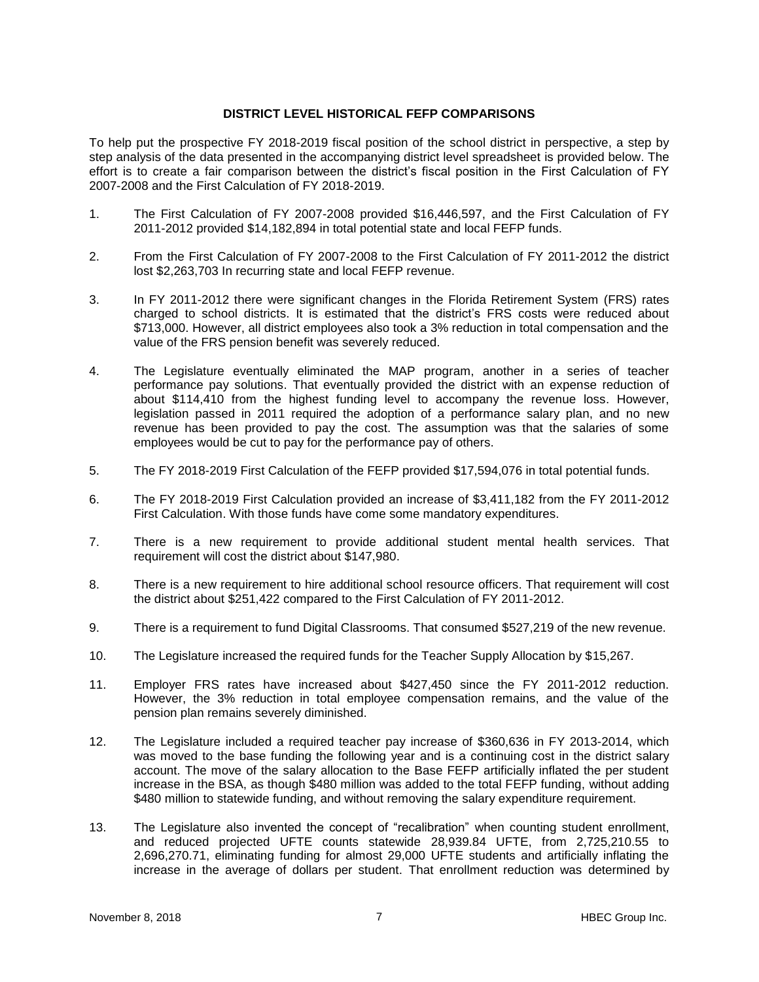## **DISTRICT LEVEL HISTORICAL FEFP COMPARISONS**

To help put the prospective FY 2018-2019 fiscal position of the school district in perspective, a step by step analysis of the data presented in the accompanying district level spreadsheet is provided below. The effort is to create a fair comparison between the district's fiscal position in the First Calculation of FY 2007-2008 and the First Calculation of FY 2018-2019.

- 1. The First Calculation of FY 2007-2008 provided \$16,446,597, and the First Calculation of FY 2011-2012 provided \$14,182,894 in total potential state and local FEFP funds.
- 2. From the First Calculation of FY 2007-2008 to the First Calculation of FY 2011-2012 the district lost \$2,263,703 In recurring state and local FEFP revenue.
- 3. In FY 2011-2012 there were significant changes in the Florida Retirement System (FRS) rates charged to school districts. It is estimated that the district's FRS costs were reduced about \$713,000. However, all district employees also took a 3% reduction in total compensation and the value of the FRS pension benefit was severely reduced.
- 4. The Legislature eventually eliminated the MAP program, another in a series of teacher performance pay solutions. That eventually provided the district with an expense reduction of about \$114,410 from the highest funding level to accompany the revenue loss. However, legislation passed in 2011 required the adoption of a performance salary plan, and no new revenue has been provided to pay the cost. The assumption was that the salaries of some employees would be cut to pay for the performance pay of others.
- 5. The FY 2018-2019 First Calculation of the FEFP provided \$17,594,076 in total potential funds.
- 6. The FY 2018-2019 First Calculation provided an increase of \$3,411,182 from the FY 2011-2012 First Calculation. With those funds have come some mandatory expenditures.
- 7. There is a new requirement to provide additional student mental health services. That requirement will cost the district about \$147,980.
- 8. There is a new requirement to hire additional school resource officers. That requirement will cost the district about \$251,422 compared to the First Calculation of FY 2011-2012.
- 9. There is a requirement to fund Digital Classrooms. That consumed \$527,219 of the new revenue.
- 10. The Legislature increased the required funds for the Teacher Supply Allocation by \$15,267.
- 11. Employer FRS rates have increased about \$427,450 since the FY 2011-2012 reduction. However, the 3% reduction in total employee compensation remains, and the value of the pension plan remains severely diminished.
- 12. The Legislature included a required teacher pay increase of \$360,636 in FY 2013-2014, which was moved to the base funding the following year and is a continuing cost in the district salary account. The move of the salary allocation to the Base FEFP artificially inflated the per student increase in the BSA, as though \$480 million was added to the total FEFP funding, without adding \$480 million to statewide funding, and without removing the salary expenditure requirement.
- 13. The Legislature also invented the concept of "recalibration" when counting student enrollment, and reduced projected UFTE counts statewide 28,939.84 UFTE, from 2,725,210.55 to 2,696,270.71, eliminating funding for almost 29,000 UFTE students and artificially inflating the increase in the average of dollars per student. That enrollment reduction was determined by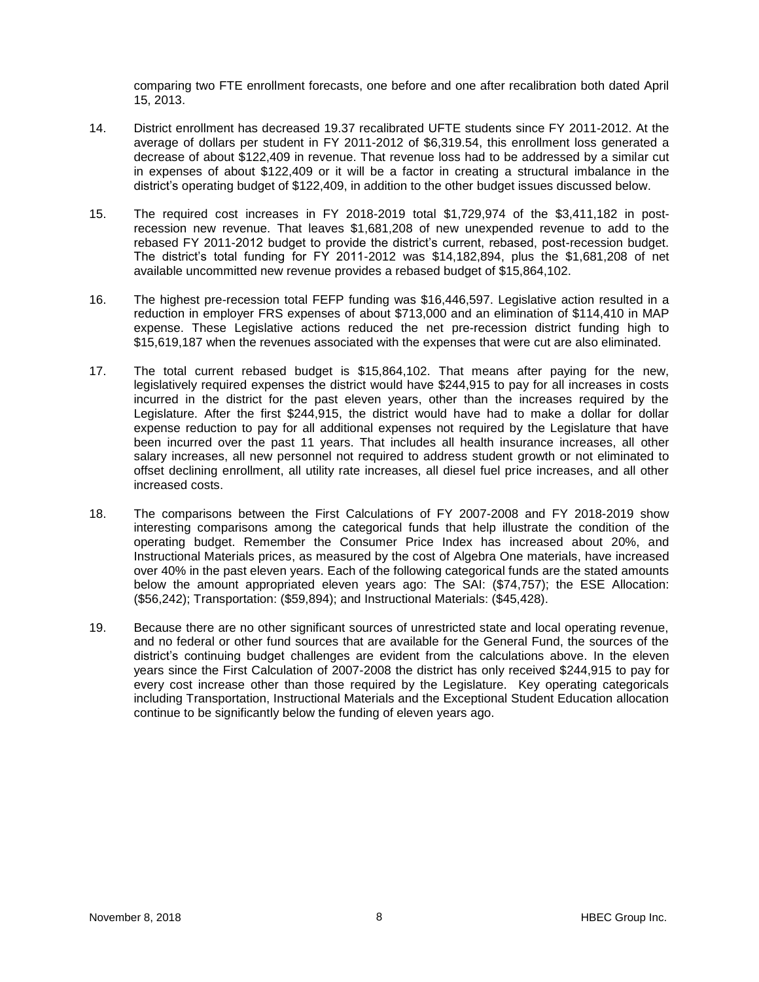comparing two FTE enrollment forecasts, one before and one after recalibration both dated April 15, 2013.

- 14. District enrollment has decreased 19.37 recalibrated UFTE students since FY 2011-2012. At the average of dollars per student in FY 2011-2012 of \$6,319.54, this enrollment loss generated a decrease of about \$122,409 in revenue. That revenue loss had to be addressed by a similar cut in expenses of about \$122,409 or it will be a factor in creating a structural imbalance in the district's operating budget of \$122,409, in addition to the other budget issues discussed below.
- 15. The required cost increases in FY 2018-2019 total \$1,729,974 of the \$3,411,182 in postrecession new revenue. That leaves \$1,681,208 of new unexpended revenue to add to the rebased FY 2011-2012 budget to provide the district's current, rebased, post-recession budget. The district's total funding for FY 2011-2012 was \$14,182,894, plus the \$1,681,208 of net available uncommitted new revenue provides a rebased budget of \$15,864,102.
- 16. The highest pre-recession total FEFP funding was \$16,446,597. Legislative action resulted in a reduction in employer FRS expenses of about \$713,000 and an elimination of \$114,410 in MAP expense. These Legislative actions reduced the net pre-recession district funding high to \$15,619,187 when the revenues associated with the expenses that were cut are also eliminated.
- 17. The total current rebased budget is \$15,864,102. That means after paying for the new, legislatively required expenses the district would have \$244,915 to pay for all increases in costs incurred in the district for the past eleven years, other than the increases required by the Legislature. After the first \$244,915, the district would have had to make a dollar for dollar expense reduction to pay for all additional expenses not required by the Legislature that have been incurred over the past 11 years. That includes all health insurance increases, all other salary increases, all new personnel not required to address student growth or not eliminated to offset declining enrollment, all utility rate increases, all diesel fuel price increases, and all other increased costs.
- 18. The comparisons between the First Calculations of FY 2007-2008 and FY 2018-2019 show interesting comparisons among the categorical funds that help illustrate the condition of the operating budget. Remember the Consumer Price Index has increased about 20%, and Instructional Materials prices, as measured by the cost of Algebra One materials, have increased over 40% in the past eleven years. Each of the following categorical funds are the stated amounts below the amount appropriated eleven years ago: The SAI: (\$74,757); the ESE Allocation: (\$56,242); Transportation: (\$59,894); and Instructional Materials: (\$45,428).
- 19. Because there are no other significant sources of unrestricted state and local operating revenue, and no federal or other fund sources that are available for the General Fund, the sources of the district's continuing budget challenges are evident from the calculations above. In the eleven years since the First Calculation of 2007-2008 the district has only received \$244,915 to pay for every cost increase other than those required by the Legislature. Key operating categoricals including Transportation, Instructional Materials and the Exceptional Student Education allocation continue to be significantly below the funding of eleven years ago.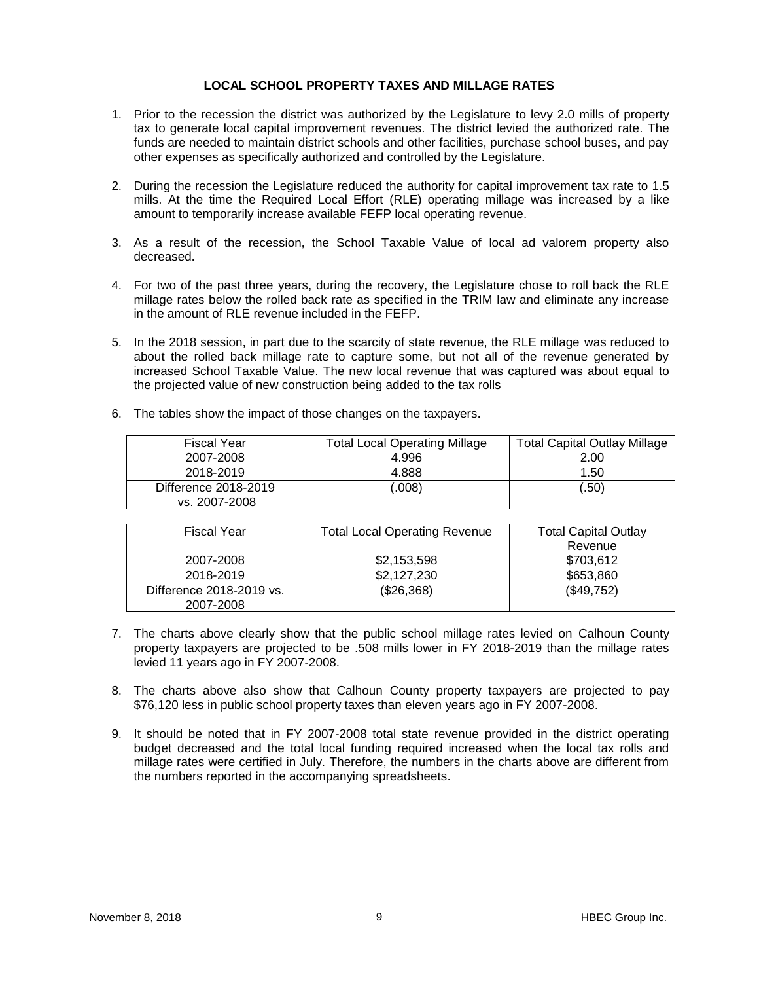# **LOCAL SCHOOL PROPERTY TAXES AND MILLAGE RATES**

- 1. Prior to the recession the district was authorized by the Legislature to levy 2.0 mills of property tax to generate local capital improvement revenues. The district levied the authorized rate. The funds are needed to maintain district schools and other facilities, purchase school buses, and pay other expenses as specifically authorized and controlled by the Legislature.
- 2. During the recession the Legislature reduced the authority for capital improvement tax rate to 1.5 mills. At the time the Required Local Effort (RLE) operating millage was increased by a like amount to temporarily increase available FEFP local operating revenue.
- 3. As a result of the recession, the School Taxable Value of local ad valorem property also decreased.
- 4. For two of the past three years, during the recovery, the Legislature chose to roll back the RLE millage rates below the rolled back rate as specified in the TRIM law and eliminate any increase in the amount of RLE revenue included in the FEFP.
- 5. In the 2018 session, in part due to the scarcity of state revenue, the RLE millage was reduced to about the rolled back millage rate to capture some, but not all of the revenue generated by increased School Taxable Value. The new local revenue that was captured was about equal to the projected value of new construction being added to the tax rolls
- 6. The tables show the impact of those changes on the taxpayers.

| Fiscal Year                           | Total Local Operating Millage | <b>Total Capital Outlay Millage</b> |
|---------------------------------------|-------------------------------|-------------------------------------|
| 2007-2008                             | 4.996                         | 2.00                                |
| 2018-2019                             | 4.888                         | 1.50                                |
| Difference 2018-2019<br>vs. 2007-2008 | 0.008                         | (.50)                               |

| <b>Fiscal Year</b>       | <b>Total Local Operating Revenue</b> | <b>Total Capital Outlay</b> |
|--------------------------|--------------------------------------|-----------------------------|
|                          |                                      | Revenue                     |
| 2007-2008                | \$2,153,598                          | \$703,612                   |
| 2018-2019                | \$2,127,230                          | \$653,860                   |
| Difference 2018-2019 vs. | (\$26,368)                           | (\$49,752)                  |
| 2007-2008                |                                      |                             |

- 7. The charts above clearly show that the public school millage rates levied on Calhoun County property taxpayers are projected to be .508 mills lower in FY 2018-2019 than the millage rates levied 11 years ago in FY 2007-2008.
- 8. The charts above also show that Calhoun County property taxpayers are projected to pay \$76,120 less in public school property taxes than eleven years ago in FY 2007-2008.
- 9. It should be noted that in FY 2007-2008 total state revenue provided in the district operating budget decreased and the total local funding required increased when the local tax rolls and millage rates were certified in July. Therefore, the numbers in the charts above are different from the numbers reported in the accompanying spreadsheets.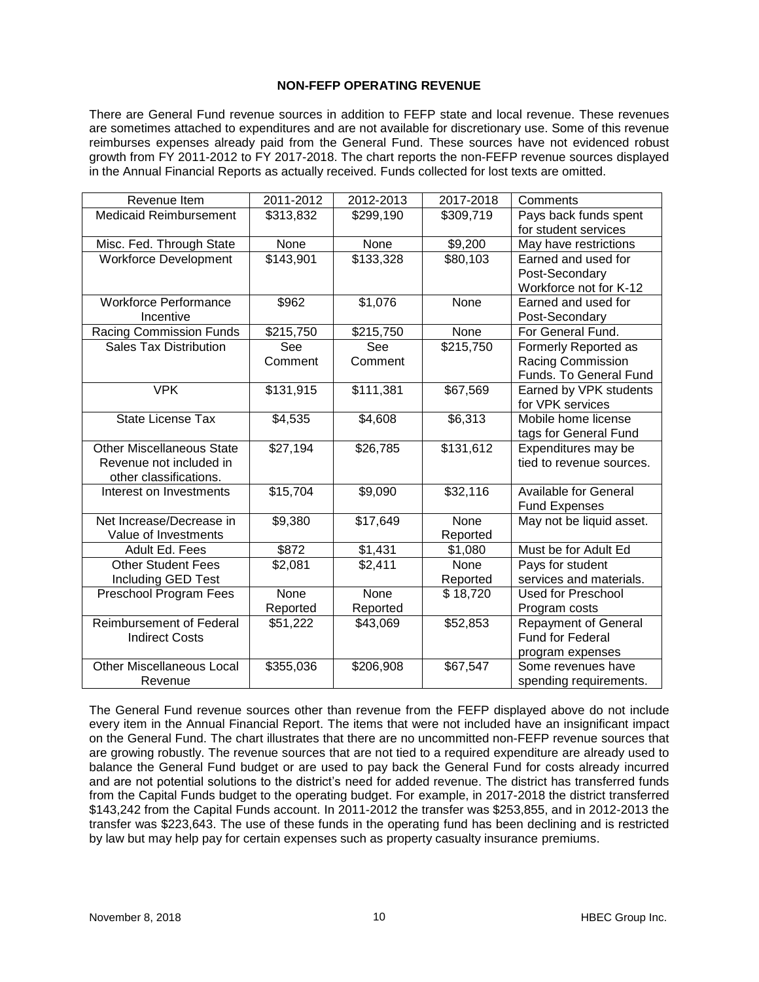# **NON-FEFP OPERATING REVENUE**

There are General Fund revenue sources in addition to FEFP state and local revenue. These revenues are sometimes attached to expenditures and are not available for discretionary use. Some of this revenue reimburses expenses already paid from the General Fund. These sources have not evidenced robust growth from FY 2011-2012 to FY 2017-2018. The chart reports the non-FEFP revenue sources displayed in the Annual Financial Reports as actually received. Funds collected for lost texts are omitted.

| Revenue Item                     | 2011-2012 | 2012-2013 | 2017-2018 | Comments                     |
|----------------------------------|-----------|-----------|-----------|------------------------------|
| <b>Medicaid Reimbursement</b>    | \$313,832 | \$299,190 | \$309,719 | Pays back funds spent        |
|                                  |           |           |           | for student services         |
| Misc. Fed. Through State         | None      | None      | \$9,200   | May have restrictions        |
| <b>Workforce Development</b>     | \$143,901 | \$133,328 | \$80,103  | Earned and used for          |
|                                  |           |           |           | Post-Secondary               |
|                                  |           |           |           | Workforce not for K-12       |
| <b>Workforce Performance</b>     | \$962     | \$1,076   | None      | Earned and used for          |
| Incentive                        |           |           |           | Post-Secondary               |
| <b>Racing Commission Funds</b>   | \$215,750 | \$215,750 | None      | For General Fund.            |
| <b>Sales Tax Distribution</b>    | See       | See       | \$215,750 | Formerly Reported as         |
|                                  | Comment   | Comment   |           | <b>Racing Commission</b>     |
|                                  |           |           |           | Funds. To General Fund       |
| <b>VPK</b>                       | \$131,915 | \$111,381 | \$67,569  | Earned by VPK students       |
|                                  |           |           |           | for VPK services             |
| <b>State License Tax</b>         | \$4,535   | \$4,608   | \$6,313   | Mobile home license          |
|                                  |           |           |           | tags for General Fund        |
| <b>Other Miscellaneous State</b> | \$27,194  | \$26,785  | \$131,612 | Expenditures may be          |
| Revenue not included in          |           |           |           | tied to revenue sources.     |
| other classifications.           |           |           |           |                              |
| Interest on Investments          | \$15,704  | \$9,090   | \$32,116  | <b>Available for General</b> |
|                                  |           |           |           | <b>Fund Expenses</b>         |
| Net Increase/Decrease in         | \$9,380   | \$17,649  | None      | May not be liquid asset.     |
| Value of Investments             |           |           | Reported  |                              |
| Adult Ed. Fees                   | \$872     | \$1,431   | \$1,080   | Must be for Adult Ed         |
| <b>Other Student Fees</b>        | \$2,081   | \$2,411   | None      | Pays for student             |
| Including GED Test               |           |           | Reported  | services and materials.      |
| Preschool Program Fees           | None      | None      | \$18,720  | Used for Preschool           |
|                                  | Reported  | Reported  |           | Program costs                |
| <b>Reimbursement of Federal</b>  | \$51,222  | \$43,069  | \$52,853  | <b>Repayment of General</b>  |
| <b>Indirect Costs</b>            |           |           |           | Fund for Federal             |
|                                  |           |           |           | program expenses             |
| <b>Other Miscellaneous Local</b> | \$355,036 | \$206,908 | \$67,547  | Some revenues have           |
| Revenue                          |           |           |           | spending requirements.       |

The General Fund revenue sources other than revenue from the FEFP displayed above do not include every item in the Annual Financial Report. The items that were not included have an insignificant impact on the General Fund. The chart illustrates that there are no uncommitted non-FEFP revenue sources that are growing robustly. The revenue sources that are not tied to a required expenditure are already used to balance the General Fund budget or are used to pay back the General Fund for costs already incurred and are not potential solutions to the district's need for added revenue. The district has transferred funds from the Capital Funds budget to the operating budget. For example, in 2017-2018 the district transferred \$143,242 from the Capital Funds account. In 2011-2012 the transfer was \$253,855, and in 2012-2013 the transfer was \$223,643. The use of these funds in the operating fund has been declining and is restricted by law but may help pay for certain expenses such as property casualty insurance premiums.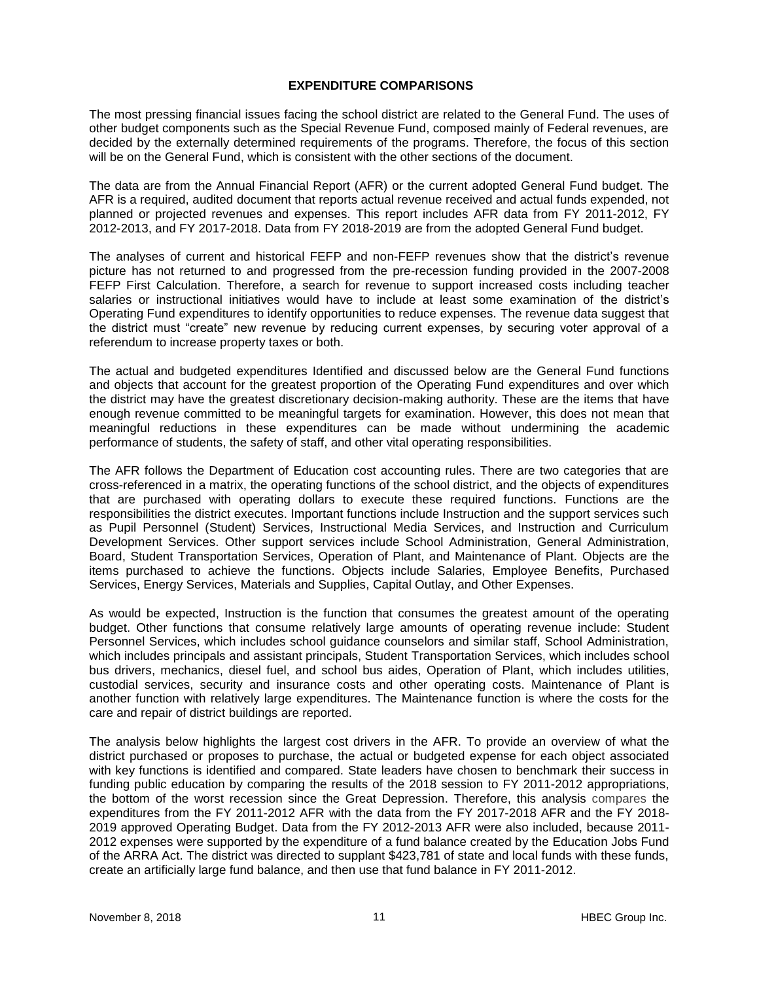## **EXPENDITURE COMPARISONS**

The most pressing financial issues facing the school district are related to the General Fund. The uses of other budget components such as the Special Revenue Fund, composed mainly of Federal revenues, are decided by the externally determined requirements of the programs. Therefore, the focus of this section will be on the General Fund, which is consistent with the other sections of the document.

The data are from the Annual Financial Report (AFR) or the current adopted General Fund budget. The AFR is a required, audited document that reports actual revenue received and actual funds expended, not planned or projected revenues and expenses. This report includes AFR data from FY 2011-2012, FY 2012-2013, and FY 2017-2018. Data from FY 2018-2019 are from the adopted General Fund budget.

The analyses of current and historical FEFP and non-FEFP revenues show that the district's revenue picture has not returned to and progressed from the pre-recession funding provided in the 2007-2008 FEFP First Calculation. Therefore, a search for revenue to support increased costs including teacher salaries or instructional initiatives would have to include at least some examination of the district's Operating Fund expenditures to identify opportunities to reduce expenses. The revenue data suggest that the district must "create" new revenue by reducing current expenses, by securing voter approval of a referendum to increase property taxes or both.

The actual and budgeted expenditures Identified and discussed below are the General Fund functions and objects that account for the greatest proportion of the Operating Fund expenditures and over which the district may have the greatest discretionary decision-making authority. These are the items that have enough revenue committed to be meaningful targets for examination. However, this does not mean that meaningful reductions in these expenditures can be made without undermining the academic performance of students, the safety of staff, and other vital operating responsibilities.

The AFR follows the Department of Education cost accounting rules. There are two categories that are cross-referenced in a matrix, the operating functions of the school district, and the objects of expenditures that are purchased with operating dollars to execute these required functions. Functions are the responsibilities the district executes. Important functions include Instruction and the support services such as Pupil Personnel (Student) Services, Instructional Media Services, and Instruction and Curriculum Development Services. Other support services include School Administration, General Administration, Board, Student Transportation Services, Operation of Plant, and Maintenance of Plant. Objects are the items purchased to achieve the functions. Objects include Salaries, Employee Benefits, Purchased Services, Energy Services, Materials and Supplies, Capital Outlay, and Other Expenses.

As would be expected, Instruction is the function that consumes the greatest amount of the operating budget. Other functions that consume relatively large amounts of operating revenue include: Student Personnel Services, which includes school guidance counselors and similar staff, School Administration, which includes principals and assistant principals, Student Transportation Services, which includes school bus drivers, mechanics, diesel fuel, and school bus aides, Operation of Plant, which includes utilities, custodial services, security and insurance costs and other operating costs. Maintenance of Plant is another function with relatively large expenditures. The Maintenance function is where the costs for the care and repair of district buildings are reported.

The analysis below highlights the largest cost drivers in the AFR. To provide an overview of what the district purchased or proposes to purchase, the actual or budgeted expense for each object associated with key functions is identified and compared. State leaders have chosen to benchmark their success in funding public education by comparing the results of the 2018 session to FY 2011-2012 appropriations, the bottom of the worst recession since the Great Depression. Therefore, this analysis compares the expenditures from the FY 2011-2012 AFR with the data from the FY 2017-2018 AFR and the FY 2018- 2019 approved Operating Budget. Data from the FY 2012-2013 AFR were also included, because 2011- 2012 expenses were supported by the expenditure of a fund balance created by the Education Jobs Fund of the ARRA Act. The district was directed to supplant \$423,781 of state and local funds with these funds, create an artificially large fund balance, and then use that fund balance in FY 2011-2012.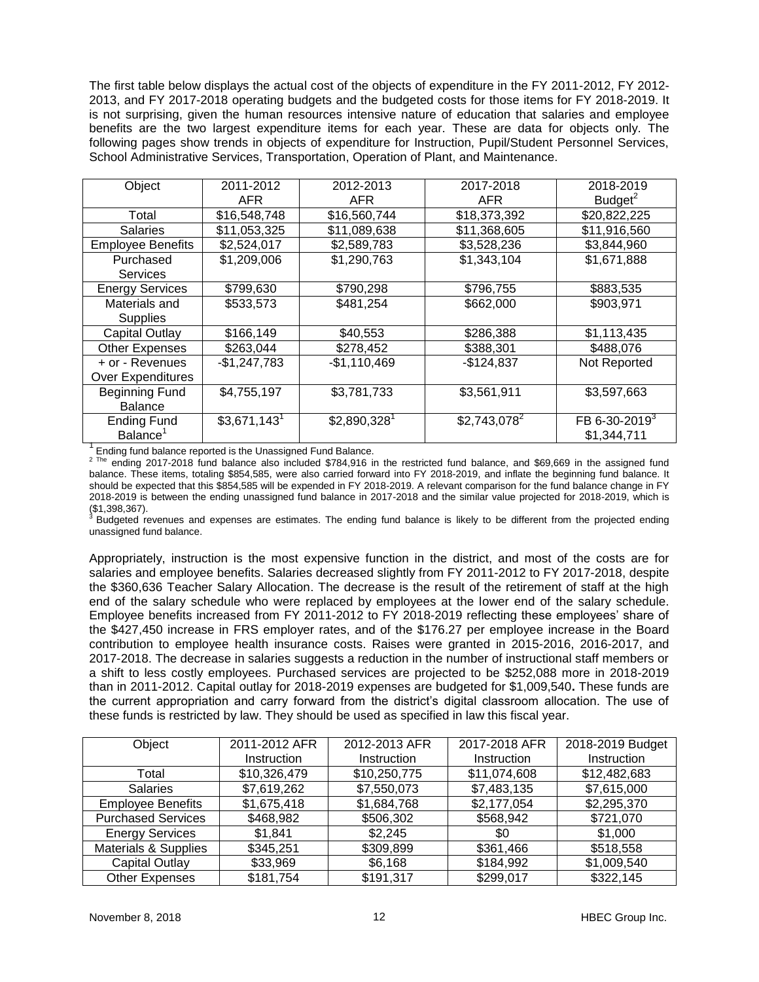The first table below displays the actual cost of the objects of expenditure in the FY 2011-2012, FY 2012- 2013, and FY 2017-2018 operating budgets and the budgeted costs for those items for FY 2018-2019. It is not surprising, given the human resources intensive nature of education that salaries and employee benefits are the two largest expenditure items for each year. These are data for objects only. The following pages show trends in objects of expenditure for Instruction, Pupil/Student Personnel Services, School Administrative Services, Transportation, Operation of Plant, and Maintenance.

| Object                   | 2011-2012                 | 2012-2013                 | 2017-2018      | 2018-2019                 |
|--------------------------|---------------------------|---------------------------|----------------|---------------------------|
|                          | <b>AFR</b>                | <b>AFR</b>                | <b>AFR</b>     | $B$ udget $^2$            |
| Total                    | \$16,548,748              | \$16,560,744              | \$18,373,392   | \$20,822,225              |
| <b>Salaries</b>          | \$11,053,325              | \$11,089,638              | \$11,368,605   | \$11,916,560              |
| <b>Employee Benefits</b> | \$2,524,017               | \$2,589,783               | \$3,528,236    | \$3,844,960               |
| Purchased                | \$1,209,006               | \$1,290,763               | \$1,343,104    | \$1,671,888               |
| <b>Services</b>          |                           |                           |                |                           |
| <b>Energy Services</b>   | \$799,630                 | \$790,298                 | \$796,755      | \$883,535                 |
| Materials and            | \$533,573                 | \$481,254                 | \$662,000      | \$903,971                 |
| Supplies                 |                           |                           |                |                           |
| Capital Outlay           | \$166,149                 | \$40,553                  | \$286,388      | \$1,113,435               |
| <b>Other Expenses</b>    | \$263,044                 | \$278,452                 | \$388,301      | \$488,076                 |
| + or - Revenues          | $-$1,247,783$             | $-$1,110,469$             | $-$124,837$    | Not Reported              |
| <b>Over Expenditures</b> |                           |                           |                |                           |
| <b>Beginning Fund</b>    | \$4,755,197               | \$3,781,733               | \$3,561,911    | \$3,597,663               |
| <b>Balance</b>           |                           |                           |                |                           |
| <b>Ending Fund</b>       | $$3,671,143$ <sup>1</sup> | $$2,890,328$ <sup>1</sup> | $$2,743,078^2$ | FB 6-30-2019 <sup>3</sup> |
| Balance <sup>1</sup>     |                           |                           |                | \$1,344,711               |

 $1$  Ending fund balance reported is the Unassigned Fund Balance.

 $2$  The ending 2017-2018 fund balance also included \$784,916 in the restricted fund balance, and \$69,669 in the assigned fund balance. These items, totaling \$854,585, were also carried forward into FY 2018-2019, and inflate the beginning fund balance. It should be expected that this \$854,585 will be expended in FY 2018-2019. A relevant comparison for the fund balance change in FY 2018-2019 is between the ending unassigned fund balance in 2017-2018 and the similar value projected for 2018-2019, which is  $(1,398,367)$ .

Budgeted revenues and expenses are estimates. The ending fund balance is likely to be different from the projected ending unassigned fund balance.

Appropriately, instruction is the most expensive function in the district, and most of the costs are for salaries and employee benefits. Salaries decreased slightly from FY 2011-2012 to FY 2017-2018, despite the \$360,636 Teacher Salary Allocation. The decrease is the result of the retirement of staff at the high end of the salary schedule who were replaced by employees at the lower end of the salary schedule. Employee benefits increased from FY 2011-2012 to FY 2018-2019 reflecting these employees' share of the \$427,450 increase in FRS employer rates, and of the \$176.27 per employee increase in the Board contribution to employee health insurance costs. Raises were granted in 2015-2016, 2016-2017, and 2017-2018. The decrease in salaries suggests a reduction in the number of instructional staff members or a shift to less costly employees. Purchased services are projected to be \$252,088 more in 2018-2019 than in 2011-2012. Capital outlay for 2018-2019 expenses are budgeted for \$1,009,540**.** These funds are the current appropriation and carry forward from the district's digital classroom allocation. The use of these funds is restricted by law. They should be used as specified in law this fiscal year.

| Object                          | 2011-2012 AFR | 2012-2013 AFR | 2017-2018 AFR | 2018-2019 Budget |
|---------------------------------|---------------|---------------|---------------|------------------|
|                                 | Instruction   | Instruction   | Instruction   | Instruction      |
| Total                           | \$10,326,479  | \$10,250,775  | \$11,074,608  | \$12,482,683     |
| <b>Salaries</b>                 | \$7,619,262   | \$7,550,073   | \$7,483,135   | \$7,615,000      |
| <b>Employee Benefits</b>        | \$1,675,418   | \$1,684,768   | \$2,177,054   | \$2,295,370      |
| <b>Purchased Services</b>       | \$468,982     | \$506,302     | \$568,942     | \$721,070        |
| <b>Energy Services</b>          | \$1,841       | \$2,245       | \$0           | \$1,000          |
| <b>Materials &amp; Supplies</b> | \$345,251     | \$309,899     | \$361,466     | \$518,558        |
| <b>Capital Outlay</b>           | \$33,969      | \$6,168       | \$184,992     | \$1,009,540      |
| <b>Other Expenses</b>           | \$181,754     | \$191,317     | \$299,017     | \$322,145        |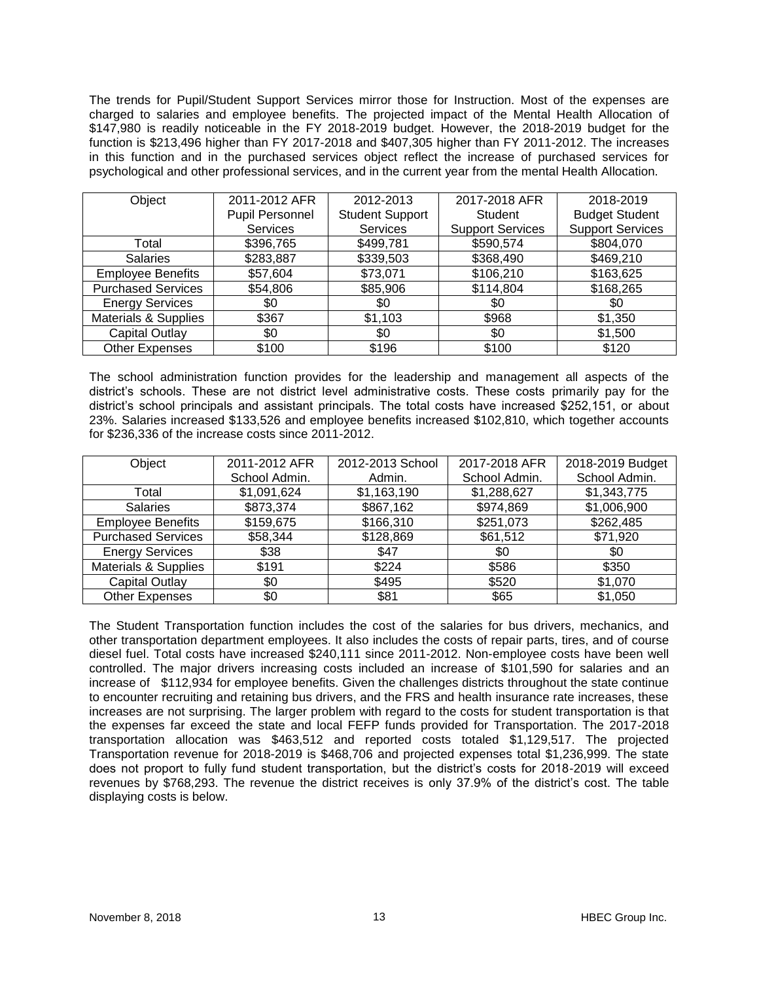The trends for Pupil/Student Support Services mirror those for Instruction. Most of the expenses are charged to salaries and employee benefits. The projected impact of the Mental Health Allocation of \$147,980 is readily noticeable in the FY 2018-2019 budget. However, the 2018-2019 budget for the function is \$213,496 higher than FY 2017-2018 and \$407,305 higher than FY 2011-2012. The increases in this function and in the purchased services object reflect the increase of purchased services for psychological and other professional services, and in the current year from the mental Health Allocation.

| Object                          | 2011-2012 AFR   | 2012-2013              | 2017-2018 AFR           | 2018-2019               |
|---------------------------------|-----------------|------------------------|-------------------------|-------------------------|
|                                 | Pupil Personnel | <b>Student Support</b> | Student                 | <b>Budget Student</b>   |
|                                 | <b>Services</b> | Services               | <b>Support Services</b> | <b>Support Services</b> |
| Total                           | \$396,765       | \$499,781              | \$590,574               | \$804,070               |
| <b>Salaries</b>                 | \$283,887       | \$339,503              | \$368,490               | \$469,210               |
| <b>Employee Benefits</b>        | \$57,604        | \$73,071               | \$106,210               | \$163,625               |
| <b>Purchased Services</b>       | \$54,806        | \$85,906               | \$114,804               | \$168,265               |
| <b>Energy Services</b>          | \$0             | \$0                    | \$0                     | \$0                     |
| <b>Materials &amp; Supplies</b> | \$367           | \$1,103                | \$968                   | \$1,350                 |
| <b>Capital Outlay</b>           | \$0             | \$0                    | \$0                     | \$1,500                 |
| <b>Other Expenses</b>           | \$100           | \$196                  | \$100                   | \$120                   |

The school administration function provides for the leadership and management all aspects of the district's schools. These are not district level administrative costs. These costs primarily pay for the district's school principals and assistant principals. The total costs have increased \$252,151, or about 23%. Salaries increased \$133,526 and employee benefits increased \$102,810, which together accounts for \$236,336 of the increase costs since 2011-2012.

| Object                          | 2011-2012 AFR | 2012-2013 School | 2017-2018 AFR | 2018-2019 Budget |
|---------------------------------|---------------|------------------|---------------|------------------|
|                                 | School Admin. | Admin.           | School Admin. | School Admin.    |
| Total                           | \$1,091,624   | \$1,163,190      | \$1,288,627   | \$1,343,775      |
| <b>Salaries</b>                 | \$873,374     | \$867,162        | \$974,869     | \$1,006,900      |
| <b>Employee Benefits</b>        | \$159,675     | \$166,310        | \$251,073     | \$262,485        |
| <b>Purchased Services</b>       | \$58,344      | \$128,869        | \$61,512      | \$71,920         |
| <b>Energy Services</b>          | \$38          | \$47             | \$0           | \$0              |
| <b>Materials &amp; Supplies</b> | \$191         | \$224            | \$586         | \$350            |
| <b>Capital Outlay</b>           | \$0           | \$495            | \$520         | \$1,070          |
| <b>Other Expenses</b>           | \$0           | \$81             | \$65          | \$1,050          |

The Student Transportation function includes the cost of the salaries for bus drivers, mechanics, and other transportation department employees. It also includes the costs of repair parts, tires, and of course diesel fuel. Total costs have increased \$240,111 since 2011-2012. Non-employee costs have been well controlled. The major drivers increasing costs included an increase of \$101,590 for salaries and an increase of \$112,934 for employee benefits. Given the challenges districts throughout the state continue to encounter recruiting and retaining bus drivers, and the FRS and health insurance rate increases, these increases are not surprising. The larger problem with regard to the costs for student transportation is that the expenses far exceed the state and local FEFP funds provided for Transportation. The 2017-2018 transportation allocation was \$463,512 and reported costs totaled \$1,129,517. The projected Transportation revenue for 2018-2019 is \$468,706 and projected expenses total \$1,236,999. The state does not proport to fully fund student transportation, but the district's costs for 2018-2019 will exceed revenues by \$768,293. The revenue the district receives is only 37.9% of the district's cost. The table displaying costs is below.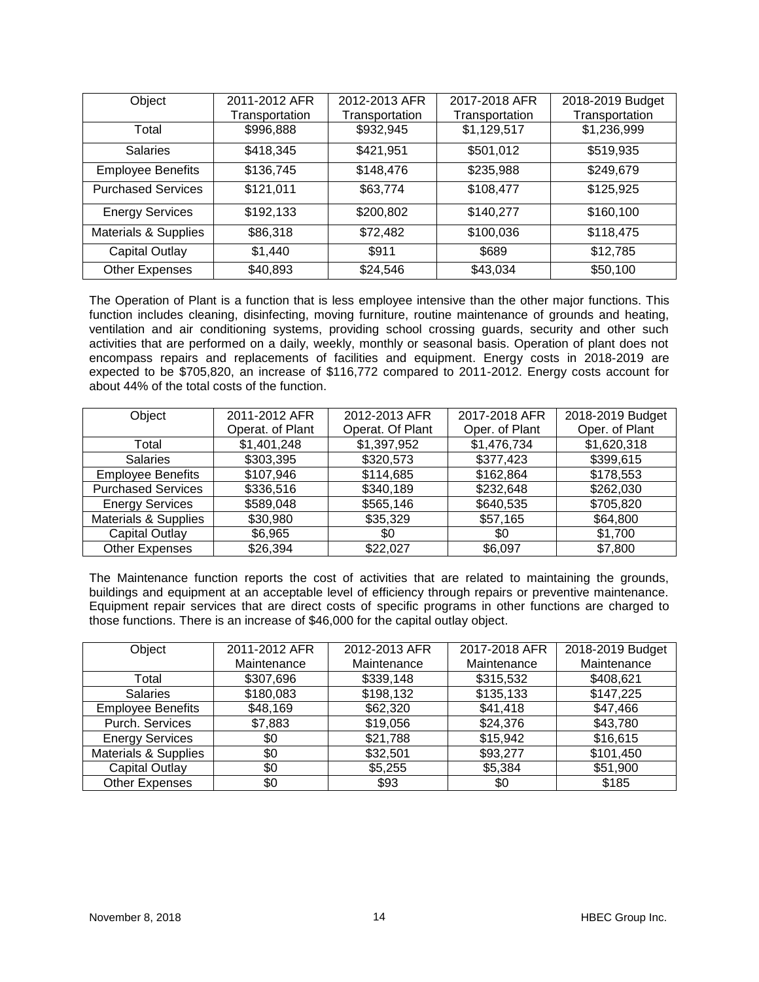| Object                          | 2011-2012 AFR  | 2012-2013 AFR  | 2017-2018 AFR  | 2018-2019 Budget |
|---------------------------------|----------------|----------------|----------------|------------------|
|                                 | Transportation | Transportation | Transportation | Transportation   |
| Total                           | \$996,888      | \$932,945      | \$1,129,517    | \$1,236,999      |
| <b>Salaries</b>                 | \$418,345      | \$421,951      | \$501,012      | \$519,935        |
| <b>Employee Benefits</b>        | \$136,745      | \$148,476      | \$235,988      | \$249,679        |
| <b>Purchased Services</b>       | \$121,011      | \$63,774       | \$108,477      | \$125,925        |
| <b>Energy Services</b>          | \$192,133      | \$200,802      | \$140,277      | \$160,100        |
| <b>Materials &amp; Supplies</b> | \$86,318       | \$72,482       | \$100,036      | \$118,475        |
| <b>Capital Outlay</b>           | \$1,440        | \$911          | \$689          | \$12,785         |
| <b>Other Expenses</b>           | \$40,893       | \$24,546       | \$43,034       | \$50,100         |

The Operation of Plant is a function that is less employee intensive than the other major functions. This function includes cleaning, disinfecting, moving furniture, routine maintenance of grounds and heating, ventilation and air conditioning systems, providing school crossing guards, security and other such activities that are performed on a daily, weekly, monthly or seasonal basis. Operation of plant does not encompass repairs and replacements of facilities and equipment. Energy costs in 2018-2019 are expected to be \$705,820, an increase of \$116,772 compared to 2011-2012. Energy costs account for about 44% of the total costs of the function.

| Object                          | 2011-2012 AFR    | 2012-2013 AFR    | 2017-2018 AFR  | 2018-2019 Budget |
|---------------------------------|------------------|------------------|----------------|------------------|
|                                 | Operat. of Plant | Operat. Of Plant | Oper. of Plant | Oper. of Plant   |
| Total                           | \$1,401,248      | \$1,397,952      | \$1,476,734    | \$1,620,318      |
| <b>Salaries</b>                 | \$303,395        | \$320,573        | \$377,423      | \$399,615        |
| <b>Employee Benefits</b>        | \$107,946        | \$114,685        | \$162,864      | \$178,553        |
| <b>Purchased Services</b>       | \$336,516        | \$340,189        | \$232,648      | \$262,030        |
| <b>Energy Services</b>          | \$589,048        | \$565,146        | \$640,535      | \$705,820        |
| <b>Materials &amp; Supplies</b> | \$30,980         | \$35,329         | \$57,165       | \$64,800         |
| <b>Capital Outlay</b>           | \$6,965          | \$0              | \$0            | \$1,700          |
| <b>Other Expenses</b>           | \$26,394         | \$22,027         | \$6,097        | \$7,800          |

The Maintenance function reports the cost of activities that are related to maintaining the grounds, buildings and equipment at an acceptable level of efficiency through repairs or preventive maintenance. Equipment repair services that are direct costs of specific programs in other functions are charged to those functions. There is an increase of \$46,000 for the capital outlay object.

| Object                          | 2011-2012 AFR | 2012-2013 AFR | 2017-2018 AFR | 2018-2019 Budget |
|---------------------------------|---------------|---------------|---------------|------------------|
|                                 | Maintenance   | Maintenance   | Maintenance   | Maintenance      |
| Total                           | \$307,696     | \$339,148     | \$315,532     | \$408,621        |
| <b>Salaries</b>                 | \$180,083     | \$198,132     | \$135,133     | \$147,225        |
| <b>Employee Benefits</b>        | \$48,169      | \$62,320      | \$41,418      | \$47,466         |
| Purch. Services                 | \$7,883       | \$19,056      | \$24,376      | \$43,780         |
| <b>Energy Services</b>          | \$0           | \$21,788      | \$15,942      | \$16,615         |
| <b>Materials &amp; Supplies</b> | \$0           | \$32,501      | \$93,277      | \$101,450        |
| <b>Capital Outlay</b>           | \$0           | \$5,255       | \$5,384       | \$51,900         |
| <b>Other Expenses</b>           | \$0           | \$93          | \$0           | \$185            |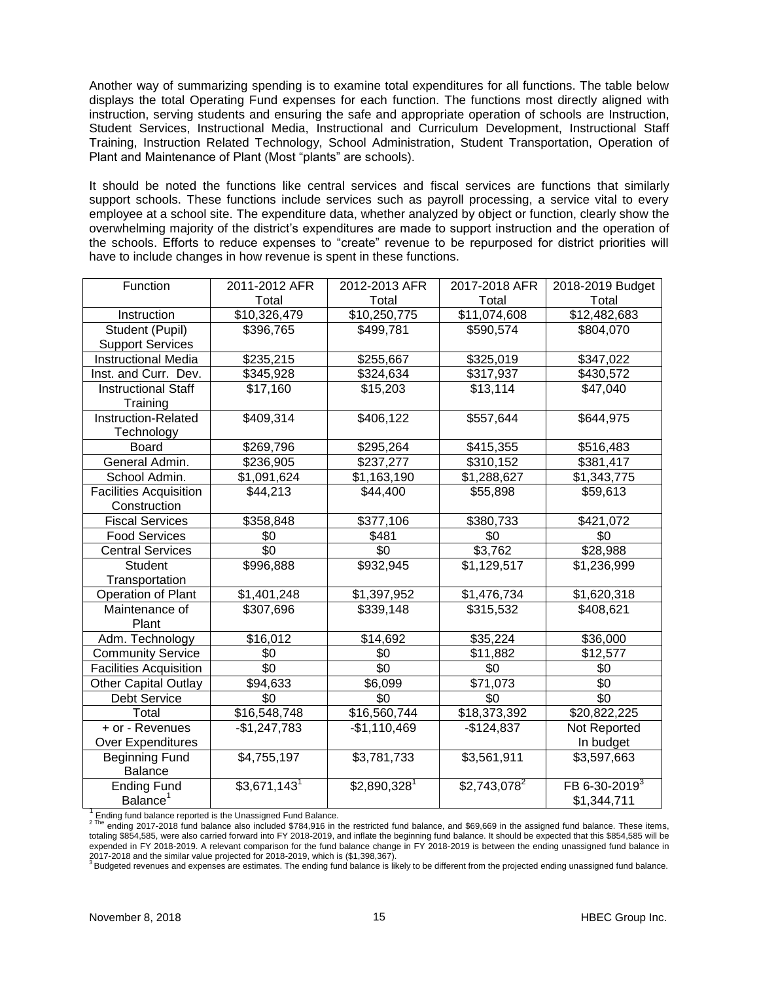Another way of summarizing spending is to examine total expenditures for all functions. The table below displays the total Operating Fund expenses for each function. The functions most directly aligned with instruction, serving students and ensuring the safe and appropriate operation of schools are Instruction, Student Services, Instructional Media, Instructional and Curriculum Development, Instructional Staff Training, Instruction Related Technology, School Administration, Student Transportation, Operation of Plant and Maintenance of Plant (Most "plants" are schools).

It should be noted the functions like central services and fiscal services are functions that similarly support schools. These functions include services such as payroll processing, a service vital to every employee at a school site. The expenditure data, whether analyzed by object or function, clearly show the overwhelming majority of the district's expenditures are made to support instruction and the operation of the schools. Efforts to reduce expenses to "create" revenue to be repurposed for district priorities will have to include changes in how revenue is spent in these functions.

| Function                      | 2011-2012 AFR             | 2012-2013 AFR             | 2017-2018 AFR            | 2018-2019 Budget          |
|-------------------------------|---------------------------|---------------------------|--------------------------|---------------------------|
|                               | Total                     | Total                     | Total                    | Total                     |
| Instruction                   | \$10,326,479              | \$10,250,775              | \$11,074,608             | \$12,482,683              |
| Student (Pupil)               | \$396,765                 | \$499,781                 | \$590,574                | \$804,070                 |
| <b>Support Services</b>       |                           |                           |                          |                           |
| <b>Instructional Media</b>    | \$235,215                 | \$255,667                 | \$325,019                | \$347,022                 |
| Inst. and Curr. Dev.          | \$345,928                 | \$324,634                 | \$317,937                | \$430,572                 |
| <b>Instructional Staff</b>    | \$17,160                  | \$15,203                  | \$13,114                 | \$47,040                  |
| Training                      |                           |                           |                          |                           |
| Instruction-Related           | \$409,314                 | \$406,122                 | \$557,644                | \$644,975                 |
| Technology                    |                           |                           |                          |                           |
| <b>Board</b>                  | \$269,796                 | \$295,264                 | \$415,355                | \$516,483                 |
| General Admin.                | \$236,905                 | \$237,277                 | \$310,152                | \$381,417                 |
| School Admin.                 | \$1,091,624               | \$1,163,190               | \$1,288,627              | \$1,343,775               |
| <b>Facilities Acquisition</b> | \$44,213                  | \$44,400                  | \$55,898                 | \$59,613                  |
| Construction                  |                           |                           |                          |                           |
| <b>Fiscal Services</b>        | \$358,848                 | \$377,106                 | \$380,733                | \$421,072                 |
| <b>Food Services</b>          | \$0                       | \$481                     | \$0                      | \$0                       |
| <b>Central Services</b>       | \$0                       | \$0                       | \$3,762                  | \$28,988                  |
| <b>Student</b>                | \$996,888                 | \$932,945                 | \$1,129,517              | \$1,236,999               |
| Transportation                |                           |                           |                          |                           |
| Operation of Plant            | \$1,401,248               | \$1,397,952               | \$1,476,734              | \$1,620,318               |
| Maintenance of                | \$307,696                 | \$339,148                 | \$315,532                | \$408,621                 |
| Plant                         |                           |                           |                          |                           |
| Adm. Technology               | \$16,012                  | \$14,692                  | \$35,224                 | \$36,000                  |
| <b>Community Service</b>      | \$0                       | \$0                       | \$11,882                 | \$12,577                  |
| <b>Facilities Acquisition</b> | $\overline{50}$           | $\overline{50}$           | \$0                      | \$0                       |
| <b>Other Capital Outlay</b>   | \$94,633                  | $\overline{$}6,099$       | $\overline{$}71,073$     | $\sqrt{6}$                |
| <b>Debt Service</b>           | \$0                       | \$0                       | \$0                      | $\overline{50}$           |
| Total                         | \$16,548,748              | \$16,560,744              | $\overline{$}18,373,392$ | \$20,822,225              |
| + or - Revenues               | $-$1,247,783$             | $-$1,110,469$             | $-$124,837$              | Not Reported              |
| Over Expenditures             |                           |                           |                          | In budget                 |
| <b>Beginning Fund</b>         | \$4,755,197               | \$3,781,733               | \$3,561,911              | \$3,597,663               |
| <b>Balance</b>                |                           |                           |                          |                           |
| <b>Ending Fund</b>            | $$3,671,143$ <sup>1</sup> | $$2,890,328$ <sup>1</sup> | $$2,743,078^2$           | FB 6-30-2019 <sup>3</sup> |
| Balance <sup>1</sup>          |                           |                           |                          | \$1,344,711               |

 $1$  Ending fund balance reported is the Unassigned Fund Balance.

 $^{2}$  The ending 2017-2018 fund balance also included \$784,916 in the restricted fund balance, and \$69,669 in the assigned fund balance. These items, totaling \$854,585, were also carried forward into FY 2018-2019, and inflate the beginning fund balance. It should be expected that this \$854,585 will be expended in FY 2018-2019. A relevant comparison for the fund balance change in FY 2018-2019 is between the ending unassigned fund balance in

2017-2018 and the similar value projected for 2018-2019, which is (\$1,398,367).<br><sup>3</sup> Budgeted revenues and expenses are estimates. The ending fund balance is likely to be different from the projected ending unassigned fund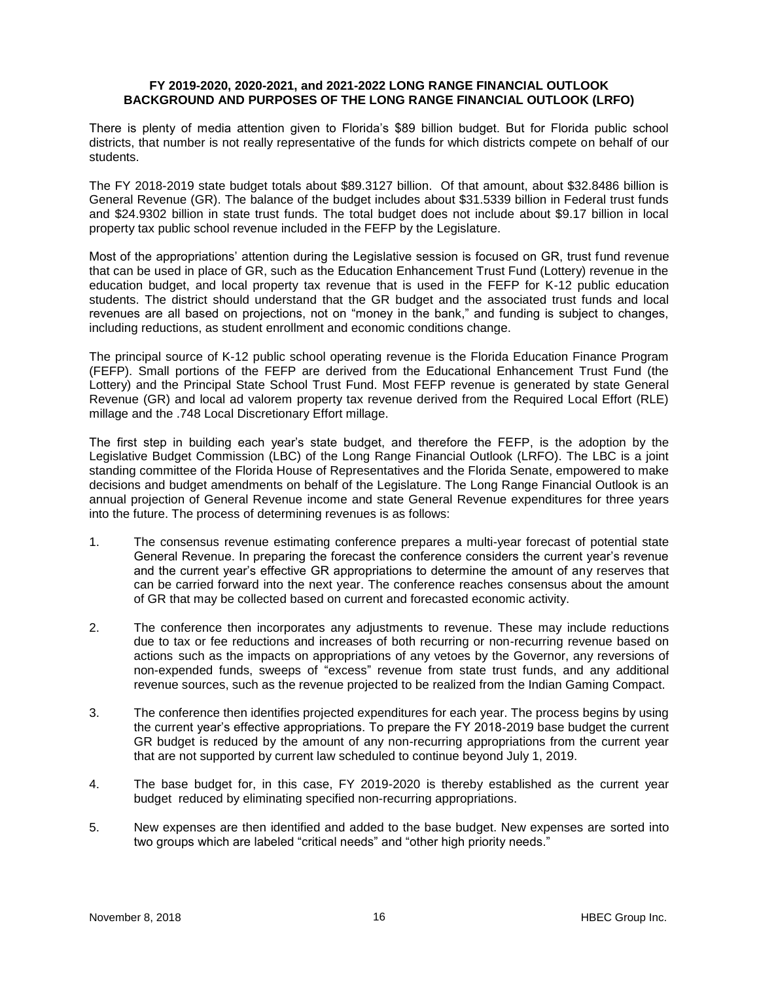### **FY 2019-2020, 2020-2021, and 2021-2022 LONG RANGE FINANCIAL OUTLOOK BACKGROUND AND PURPOSES OF THE LONG RANGE FINANCIAL OUTLOOK (LRFO)**

There is plenty of media attention given to Florida's \$89 billion budget. But for Florida public school districts, that number is not really representative of the funds for which districts compete on behalf of our students.

The FY 2018-2019 state budget totals about \$89.3127 billion. Of that amount, about \$32.8486 billion is General Revenue (GR). The balance of the budget includes about \$31.5339 billion in Federal trust funds and \$24.9302 billion in state trust funds. The total budget does not include about \$9.17 billion in local property tax public school revenue included in the FEFP by the Legislature.

Most of the appropriations' attention during the Legislative session is focused on GR, trust fund revenue that can be used in place of GR, such as the Education Enhancement Trust Fund (Lottery) revenue in the education budget, and local property tax revenue that is used in the FEFP for K-12 public education students. The district should understand that the GR budget and the associated trust funds and local revenues are all based on projections, not on "money in the bank," and funding is subject to changes, including reductions, as student enrollment and economic conditions change.

The principal source of K-12 public school operating revenue is the Florida Education Finance Program (FEFP). Small portions of the FEFP are derived from the Educational Enhancement Trust Fund (the Lottery) and the Principal State School Trust Fund. Most FEFP revenue is generated by state General Revenue (GR) and local ad valorem property tax revenue derived from the Required Local Effort (RLE) millage and the .748 Local Discretionary Effort millage.

The first step in building each year's state budget, and therefore the FEFP, is the adoption by the Legislative Budget Commission (LBC) of the Long Range Financial Outlook (LRFO). The LBC is a joint standing committee of the Florida House of Representatives and the Florida Senate, empowered to make decisions and budget amendments on behalf of the Legislature. The Long Range Financial Outlook is an annual projection of General Revenue income and state General Revenue expenditures for three years into the future. The process of determining revenues is as follows:

- 1. The consensus revenue estimating conference prepares a multi-year forecast of potential state General Revenue. In preparing the forecast the conference considers the current year's revenue and the current year's effective GR appropriations to determine the amount of any reserves that can be carried forward into the next year. The conference reaches consensus about the amount of GR that may be collected based on current and forecasted economic activity.
- 2. The conference then incorporates any adjustments to revenue. These may include reductions due to tax or fee reductions and increases of both recurring or non-recurring revenue based on actions such as the impacts on appropriations of any vetoes by the Governor, any reversions of non-expended funds, sweeps of "excess" revenue from state trust funds, and any additional revenue sources, such as the revenue projected to be realized from the Indian Gaming Compact.
- 3. The conference then identifies projected expenditures for each year. The process begins by using the current year's effective appropriations. To prepare the FY 2018-2019 base budget the current GR budget is reduced by the amount of any non-recurring appropriations from the current year that are not supported by current law scheduled to continue beyond July 1, 2019.
- 4. The base budget for, in this case, FY 2019-2020 is thereby established as the current year budget reduced by eliminating specified non-recurring appropriations.
- 5. New expenses are then identified and added to the base budget. New expenses are sorted into two groups which are labeled "critical needs" and "other high priority needs."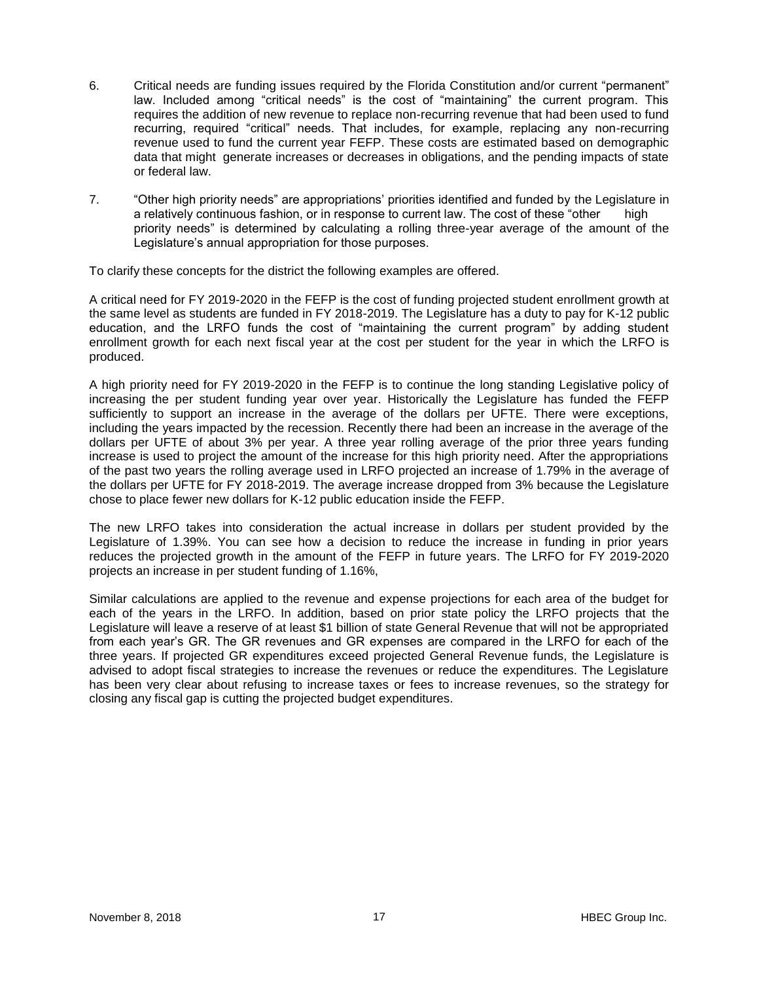- 6. Critical needs are funding issues required by the Florida Constitution and/or current "permanent" law. Included among "critical needs" is the cost of "maintaining" the current program. This requires the addition of new revenue to replace non-recurring revenue that had been used to fund recurring, required "critical" needs. That includes, for example, replacing any non-recurring revenue used to fund the current year FEFP. These costs are estimated based on demographic data that might generate increases or decreases in obligations, and the pending impacts of state or federal law.
- 7. "Other high priority needs" are appropriations' priorities identified and funded by the Legislature in a relatively continuous fashion, or in response to current law. The cost of these "other high priority needs" is determined by calculating a rolling three-year average of the amount of the Legislature's annual appropriation for those purposes.

To clarify these concepts for the district the following examples are offered.

A critical need for FY 2019-2020 in the FEFP is the cost of funding projected student enrollment growth at the same level as students are funded in FY 2018-2019. The Legislature has a duty to pay for K-12 public education, and the LRFO funds the cost of "maintaining the current program" by adding student enrollment growth for each next fiscal year at the cost per student for the year in which the LRFO is produced.

A high priority need for FY 2019-2020 in the FEFP is to continue the long standing Legislative policy of increasing the per student funding year over year. Historically the Legislature has funded the FEFP sufficiently to support an increase in the average of the dollars per UFTE. There were exceptions, including the years impacted by the recession. Recently there had been an increase in the average of the dollars per UFTE of about 3% per year. A three year rolling average of the prior three years funding increase is used to project the amount of the increase for this high priority need. After the appropriations of the past two years the rolling average used in LRFO projected an increase of 1.79% in the average of the dollars per UFTE for FY 2018-2019. The average increase dropped from 3% because the Legislature chose to place fewer new dollars for K-12 public education inside the FEFP.

The new LRFO takes into consideration the actual increase in dollars per student provided by the Legislature of 1.39%. You can see how a decision to reduce the increase in funding in prior years reduces the projected growth in the amount of the FEFP in future years. The LRFO for FY 2019-2020 projects an increase in per student funding of 1.16%,

Similar calculations are applied to the revenue and expense projections for each area of the budget for each of the years in the LRFO. In addition, based on prior state policy the LRFO projects that the Legislature will leave a reserve of at least \$1 billion of state General Revenue that will not be appropriated from each year's GR. The GR revenues and GR expenses are compared in the LRFO for each of the three years. If projected GR expenditures exceed projected General Revenue funds, the Legislature is advised to adopt fiscal strategies to increase the revenues or reduce the expenditures. The Legislature has been very clear about refusing to increase taxes or fees to increase revenues, so the strategy for closing any fiscal gap is cutting the projected budget expenditures.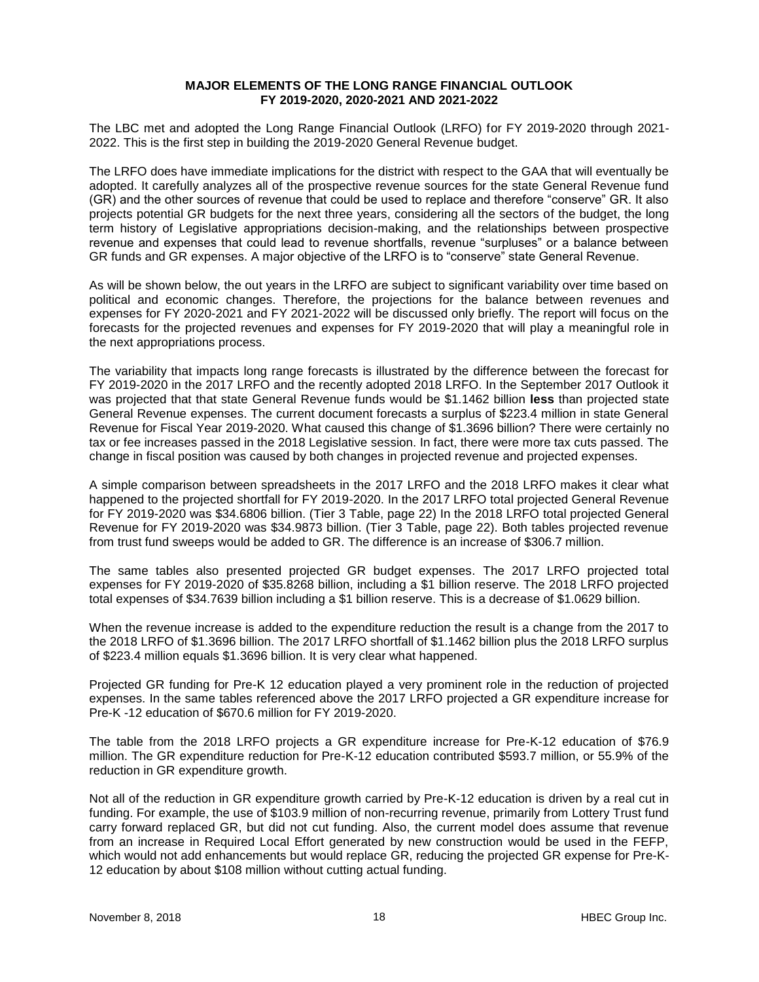## **MAJOR ELEMENTS OF THE LONG RANGE FINANCIAL OUTLOOK FY 2019-2020, 2020-2021 AND 2021-2022**

The LBC met and adopted the Long Range Financial Outlook (LRFO) for FY 2019-2020 through 2021- 2022. This is the first step in building the 2019-2020 General Revenue budget.

The LRFO does have immediate implications for the district with respect to the GAA that will eventually be adopted. It carefully analyzes all of the prospective revenue sources for the state General Revenue fund (GR) and the other sources of revenue that could be used to replace and therefore "conserve" GR. It also projects potential GR budgets for the next three years, considering all the sectors of the budget, the long term history of Legislative appropriations decision-making, and the relationships between prospective revenue and expenses that could lead to revenue shortfalls, revenue "surpluses" or a balance between GR funds and GR expenses. A major objective of the LRFO is to "conserve" state General Revenue.

As will be shown below, the out years in the LRFO are subject to significant variability over time based on political and economic changes. Therefore, the projections for the balance between revenues and expenses for FY 2020-2021 and FY 2021-2022 will be discussed only briefly. The report will focus on the forecasts for the projected revenues and expenses for FY 2019-2020 that will play a meaningful role in the next appropriations process.

The variability that impacts long range forecasts is illustrated by the difference between the forecast for FY 2019-2020 in the 2017 LRFO and the recently adopted 2018 LRFO. In the September 2017 Outlook it was projected that that state General Revenue funds would be \$1.1462 billion **less** than projected state General Revenue expenses. The current document forecasts a surplus of \$223.4 million in state General Revenue for Fiscal Year 2019-2020. What caused this change of \$1.3696 billion? There were certainly no tax or fee increases passed in the 2018 Legislative session. In fact, there were more tax cuts passed. The change in fiscal position was caused by both changes in projected revenue and projected expenses.

A simple comparison between spreadsheets in the 2017 LRFO and the 2018 LRFO makes it clear what happened to the projected shortfall for FY 2019-2020. In the 2017 LRFO total projected General Revenue for FY 2019-2020 was \$34.6806 billion. (Tier 3 Table, page 22) In the 2018 LRFO total projected General Revenue for FY 2019-2020 was \$34.9873 billion. (Tier 3 Table, page 22). Both tables projected revenue from trust fund sweeps would be added to GR. The difference is an increase of \$306.7 million.

The same tables also presented projected GR budget expenses. The 2017 LRFO projected total expenses for FY 2019-2020 of \$35.8268 billion, including a \$1 billion reserve. The 2018 LRFO projected total expenses of \$34.7639 billion including a \$1 billion reserve. This is a decrease of \$1.0629 billion.

When the revenue increase is added to the expenditure reduction the result is a change from the 2017 to the 2018 LRFO of \$1.3696 billion. The 2017 LRFO shortfall of \$1.1462 billion plus the 2018 LRFO surplus of \$223.4 million equals \$1.3696 billion. It is very clear what happened.

Projected GR funding for Pre-K 12 education played a very prominent role in the reduction of projected expenses. In the same tables referenced above the 2017 LRFO projected a GR expenditure increase for Pre-K -12 education of \$670.6 million for FY 2019-2020.

The table from the 2018 LRFO projects a GR expenditure increase for Pre-K-12 education of \$76.9 million. The GR expenditure reduction for Pre-K-12 education contributed \$593.7 million, or 55.9% of the reduction in GR expenditure growth.

Not all of the reduction in GR expenditure growth carried by Pre-K-12 education is driven by a real cut in funding. For example, the use of \$103.9 million of non-recurring revenue, primarily from Lottery Trust fund carry forward replaced GR, but did not cut funding. Also, the current model does assume that revenue from an increase in Required Local Effort generated by new construction would be used in the FEFP, which would not add enhancements but would replace GR, reducing the projected GR expense for Pre-K-12 education by about \$108 million without cutting actual funding.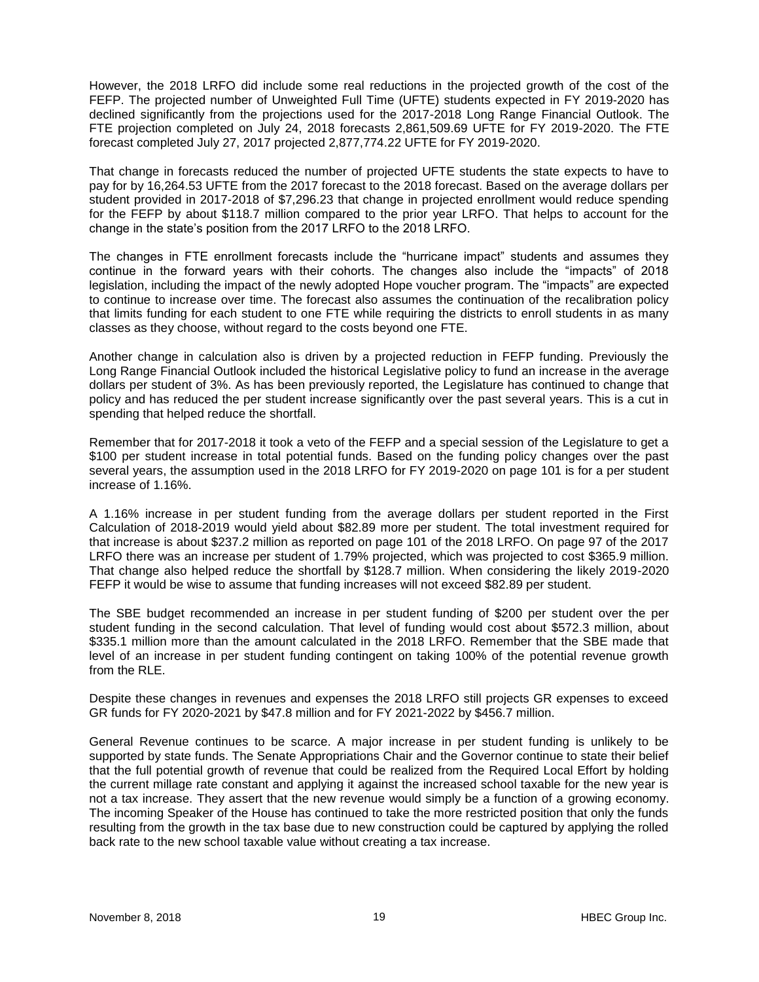However, the 2018 LRFO did include some real reductions in the projected growth of the cost of the FEFP. The projected number of Unweighted Full Time (UFTE) students expected in FY 2019-2020 has declined significantly from the projections used for the 2017-2018 Long Range Financial Outlook. The FTE projection completed on July 24, 2018 forecasts 2,861,509.69 UFTE for FY 2019-2020. The FTE forecast completed July 27, 2017 projected 2,877,774.22 UFTE for FY 2019-2020.

That change in forecasts reduced the number of projected UFTE students the state expects to have to pay for by 16,264.53 UFTE from the 2017 forecast to the 2018 forecast. Based on the average dollars per student provided in 2017-2018 of \$7,296.23 that change in projected enrollment would reduce spending for the FEFP by about \$118.7 million compared to the prior year LRFO. That helps to account for the change in the state's position from the 2017 LRFO to the 2018 LRFO.

The changes in FTE enrollment forecasts include the "hurricane impact" students and assumes they continue in the forward years with their cohorts. The changes also include the "impacts" of 2018 legislation, including the impact of the newly adopted Hope voucher program. The "impacts" are expected to continue to increase over time. The forecast also assumes the continuation of the recalibration policy that limits funding for each student to one FTE while requiring the districts to enroll students in as many classes as they choose, without regard to the costs beyond one FTE.

Another change in calculation also is driven by a projected reduction in FEFP funding. Previously the Long Range Financial Outlook included the historical Legislative policy to fund an increase in the average dollars per student of 3%. As has been previously reported, the Legislature has continued to change that policy and has reduced the per student increase significantly over the past several years. This is a cut in spending that helped reduce the shortfall.

Remember that for 2017-2018 it took a veto of the FEFP and a special session of the Legislature to get a \$100 per student increase in total potential funds. Based on the funding policy changes over the past several years, the assumption used in the 2018 LRFO for FY 2019-2020 on page 101 is for a per student increase of 1.16%.

A 1.16% increase in per student funding from the average dollars per student reported in the First Calculation of 2018-2019 would yield about \$82.89 more per student. The total investment required for that increase is about \$237.2 million as reported on page 101 of the 2018 LRFO. On page 97 of the 2017 LRFO there was an increase per student of 1.79% projected, which was projected to cost \$365.9 million. That change also helped reduce the shortfall by \$128.7 million. When considering the likely 2019-2020 FEFP it would be wise to assume that funding increases will not exceed \$82.89 per student.

The SBE budget recommended an increase in per student funding of \$200 per student over the per student funding in the second calculation. That level of funding would cost about \$572.3 million, about \$335.1 million more than the amount calculated in the 2018 LRFO. Remember that the SBE made that level of an increase in per student funding contingent on taking 100% of the potential revenue growth from the RLE.

Despite these changes in revenues and expenses the 2018 LRFO still projects GR expenses to exceed GR funds for FY 2020-2021 by \$47.8 million and for FY 2021-2022 by \$456.7 million.

General Revenue continues to be scarce. A major increase in per student funding is unlikely to be supported by state funds. The Senate Appropriations Chair and the Governor continue to state their belief that the full potential growth of revenue that could be realized from the Required Local Effort by holding the current millage rate constant and applying it against the increased school taxable for the new year is not a tax increase. They assert that the new revenue would simply be a function of a growing economy. The incoming Speaker of the House has continued to take the more restricted position that only the funds resulting from the growth in the tax base due to new construction could be captured by applying the rolled back rate to the new school taxable value without creating a tax increase.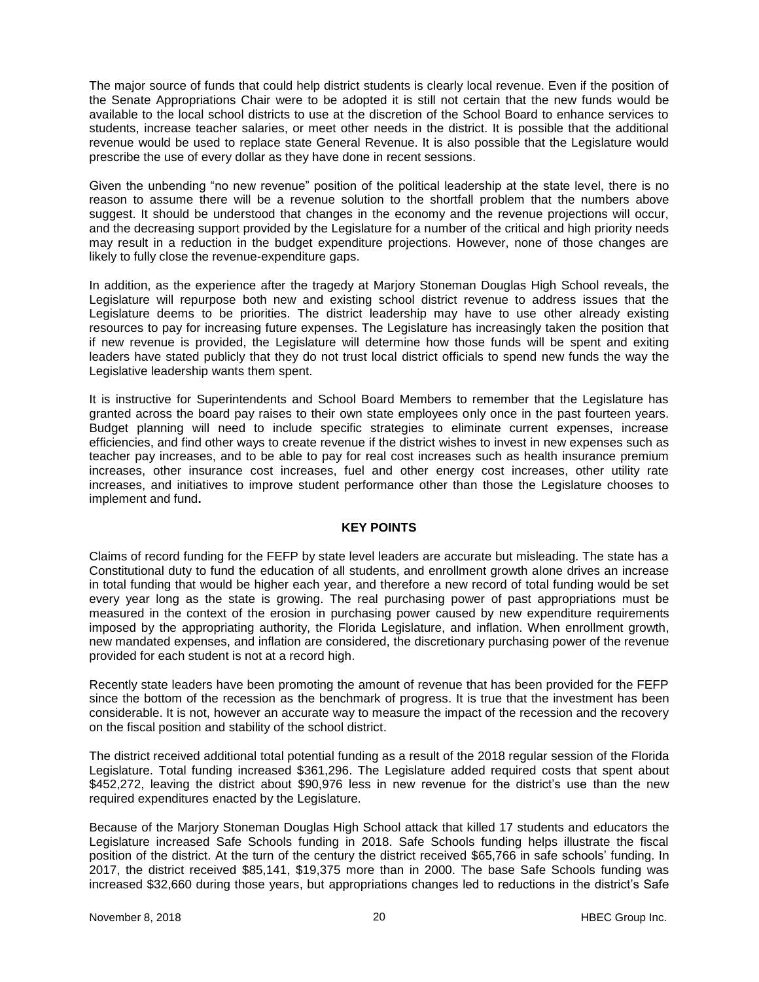The major source of funds that could help district students is clearly local revenue. Even if the position of the Senate Appropriations Chair were to be adopted it is still not certain that the new funds would be available to the local school districts to use at the discretion of the School Board to enhance services to students, increase teacher salaries, or meet other needs in the district. It is possible that the additional revenue would be used to replace state General Revenue. It is also possible that the Legislature would prescribe the use of every dollar as they have done in recent sessions.

Given the unbending "no new revenue" position of the political leadership at the state level, there is no reason to assume there will be a revenue solution to the shortfall problem that the numbers above suggest. It should be understood that changes in the economy and the revenue projections will occur, and the decreasing support provided by the Legislature for a number of the critical and high priority needs may result in a reduction in the budget expenditure projections. However, none of those changes are likely to fully close the revenue-expenditure gaps.

In addition, as the experience after the tragedy at Marjory Stoneman Douglas High School reveals, the Legislature will repurpose both new and existing school district revenue to address issues that the Legislature deems to be priorities. The district leadership may have to use other already existing resources to pay for increasing future expenses. The Legislature has increasingly taken the position that if new revenue is provided, the Legislature will determine how those funds will be spent and exiting leaders have stated publicly that they do not trust local district officials to spend new funds the way the Legislative leadership wants them spent.

It is instructive for Superintendents and School Board Members to remember that the Legislature has granted across the board pay raises to their own state employees only once in the past fourteen years. Budget planning will need to include specific strategies to eliminate current expenses, increase efficiencies, and find other ways to create revenue if the district wishes to invest in new expenses such as teacher pay increases, and to be able to pay for real cost increases such as health insurance premium increases, other insurance cost increases, fuel and other energy cost increases, other utility rate increases, and initiatives to improve student performance other than those the Legislature chooses to implement and fund**.**

## **KEY POINTS**

Claims of record funding for the FEFP by state level leaders are accurate but misleading. The state has a Constitutional duty to fund the education of all students, and enrollment growth alone drives an increase in total funding that would be higher each year, and therefore a new record of total funding would be set every year long as the state is growing. The real purchasing power of past appropriations must be measured in the context of the erosion in purchasing power caused by new expenditure requirements imposed by the appropriating authority, the Florida Legislature, and inflation. When enrollment growth, new mandated expenses, and inflation are considered, the discretionary purchasing power of the revenue provided for each student is not at a record high.

Recently state leaders have been promoting the amount of revenue that has been provided for the FEFP since the bottom of the recession as the benchmark of progress. It is true that the investment has been considerable. It is not, however an accurate way to measure the impact of the recession and the recovery on the fiscal position and stability of the school district.

The district received additional total potential funding as a result of the 2018 regular session of the Florida Legislature. Total funding increased \$361,296. The Legislature added required costs that spent about \$452,272, leaving the district about \$90,976 less in new revenue for the district's use than the new required expenditures enacted by the Legislature.

Because of the Marjory Stoneman Douglas High School attack that killed 17 students and educators the Legislature increased Safe Schools funding in 2018. Safe Schools funding helps illustrate the fiscal position of the district. At the turn of the century the district received \$65,766 in safe schools' funding. In 2017, the district received \$85,141, \$19,375 more than in 2000. The base Safe Schools funding was increased \$32,660 during those years, but appropriations changes led to reductions in the district's Safe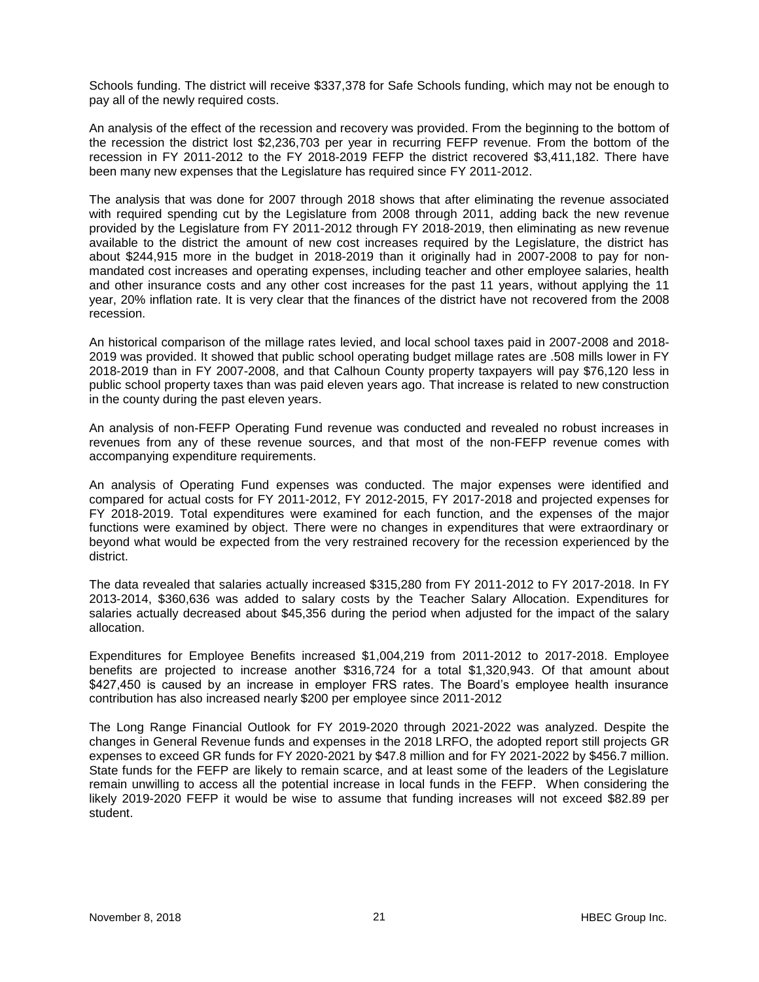Schools funding. The district will receive \$337,378 for Safe Schools funding, which may not be enough to pay all of the newly required costs.

An analysis of the effect of the recession and recovery was provided. From the beginning to the bottom of the recession the district lost \$2,236,703 per year in recurring FEFP revenue. From the bottom of the recession in FY 2011-2012 to the FY 2018-2019 FEFP the district recovered \$3,411,182. There have been many new expenses that the Legislature has required since FY 2011-2012.

The analysis that was done for 2007 through 2018 shows that after eliminating the revenue associated with required spending cut by the Legislature from 2008 through 2011, adding back the new revenue provided by the Legislature from FY 2011-2012 through FY 2018-2019, then eliminating as new revenue available to the district the amount of new cost increases required by the Legislature, the district has about \$244,915 more in the budget in 2018-2019 than it originally had in 2007-2008 to pay for nonmandated cost increases and operating expenses, including teacher and other employee salaries, health and other insurance costs and any other cost increases for the past 11 years, without applying the 11 year, 20% inflation rate. It is very clear that the finances of the district have not recovered from the 2008 recession.

An historical comparison of the millage rates levied, and local school taxes paid in 2007-2008 and 2018- 2019 was provided. It showed that public school operating budget millage rates are .508 mills lower in FY 2018-2019 than in FY 2007-2008, and that Calhoun County property taxpayers will pay \$76,120 less in public school property taxes than was paid eleven years ago. That increase is related to new construction in the county during the past eleven years.

An analysis of non-FEFP Operating Fund revenue was conducted and revealed no robust increases in revenues from any of these revenue sources, and that most of the non-FEFP revenue comes with accompanying expenditure requirements.

An analysis of Operating Fund expenses was conducted. The major expenses were identified and compared for actual costs for FY 2011-2012, FY 2012-2015, FY 2017-2018 and projected expenses for FY 2018-2019. Total expenditures were examined for each function, and the expenses of the major functions were examined by object. There were no changes in expenditures that were extraordinary or beyond what would be expected from the very restrained recovery for the recession experienced by the district.

The data revealed that salaries actually increased \$315,280 from FY 2011-2012 to FY 2017-2018. In FY 2013-2014, \$360,636 was added to salary costs by the Teacher Salary Allocation. Expenditures for salaries actually decreased about \$45,356 during the period when adjusted for the impact of the salary allocation.

Expenditures for Employee Benefits increased \$1,004,219 from 2011-2012 to 2017-2018. Employee benefits are projected to increase another \$316,724 for a total \$1,320,943. Of that amount about \$427,450 is caused by an increase in employer FRS rates. The Board's employee health insurance contribution has also increased nearly \$200 per employee since 2011-2012

The Long Range Financial Outlook for FY 2019-2020 through 2021-2022 was analyzed. Despite the changes in General Revenue funds and expenses in the 2018 LRFO, the adopted report still projects GR expenses to exceed GR funds for FY 2020-2021 by \$47.8 million and for FY 2021-2022 by \$456.7 million. State funds for the FEFP are likely to remain scarce, and at least some of the leaders of the Legislature remain unwilling to access all the potential increase in local funds in the FEFP. When considering the likely 2019-2020 FEFP it would be wise to assume that funding increases will not exceed \$82.89 per student.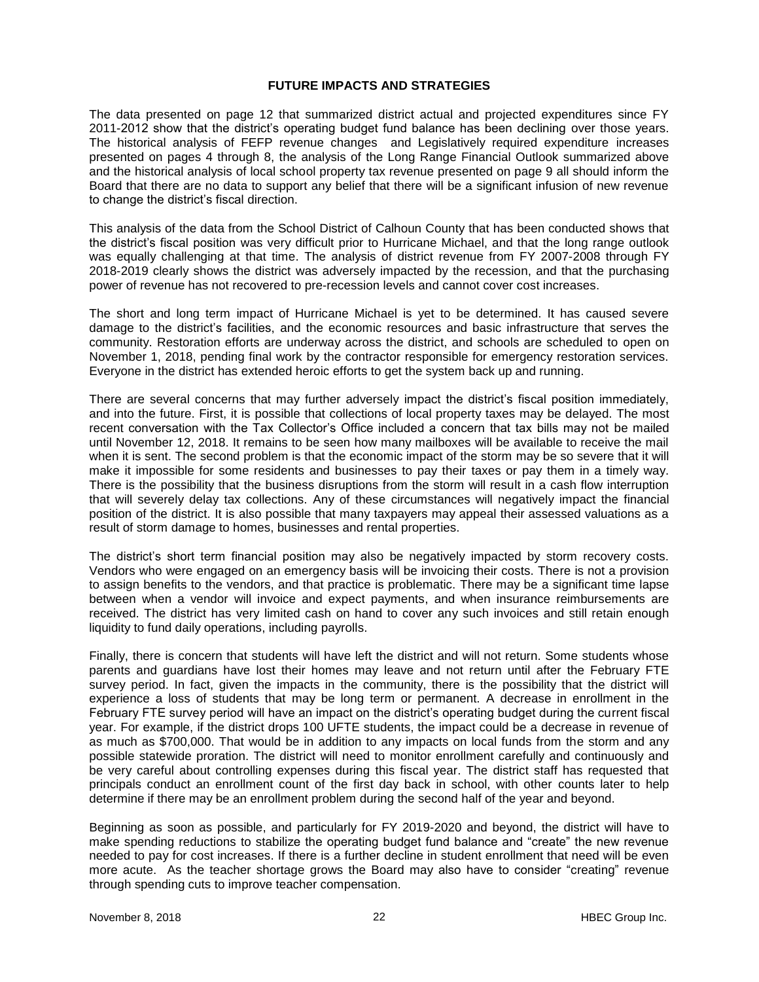### **FUTURE IMPACTS AND STRATEGIES**

The data presented on page 12 that summarized district actual and projected expenditures since FY 2011-2012 show that the district's operating budget fund balance has been declining over those years. The historical analysis of FEFP revenue changes and Legislatively required expenditure increases presented on pages 4 through 8, the analysis of the Long Range Financial Outlook summarized above and the historical analysis of local school property tax revenue presented on page 9 all should inform the Board that there are no data to support any belief that there will be a significant infusion of new revenue to change the district's fiscal direction.

This analysis of the data from the School District of Calhoun County that has been conducted shows that the district's fiscal position was very difficult prior to Hurricane Michael, and that the long range outlook was equally challenging at that time. The analysis of district revenue from FY 2007-2008 through FY 2018-2019 clearly shows the district was adversely impacted by the recession, and that the purchasing power of revenue has not recovered to pre-recession levels and cannot cover cost increases.

The short and long term impact of Hurricane Michael is yet to be determined. It has caused severe damage to the district's facilities, and the economic resources and basic infrastructure that serves the community. Restoration efforts are underway across the district, and schools are scheduled to open on November 1, 2018, pending final work by the contractor responsible for emergency restoration services. Everyone in the district has extended heroic efforts to get the system back up and running.

There are several concerns that may further adversely impact the district's fiscal position immediately, and into the future. First, it is possible that collections of local property taxes may be delayed. The most recent conversation with the Tax Collector's Office included a concern that tax bills may not be mailed until November 12, 2018. It remains to be seen how many mailboxes will be available to receive the mail when it is sent. The second problem is that the economic impact of the storm may be so severe that it will make it impossible for some residents and businesses to pay their taxes or pay them in a timely way. There is the possibility that the business disruptions from the storm will result in a cash flow interruption that will severely delay tax collections. Any of these circumstances will negatively impact the financial position of the district. It is also possible that many taxpayers may appeal their assessed valuations as a result of storm damage to homes, businesses and rental properties.

The district's short term financial position may also be negatively impacted by storm recovery costs. Vendors who were engaged on an emergency basis will be invoicing their costs. There is not a provision to assign benefits to the vendors, and that practice is problematic. There may be a significant time lapse between when a vendor will invoice and expect payments, and when insurance reimbursements are received. The district has very limited cash on hand to cover any such invoices and still retain enough liquidity to fund daily operations, including payrolls.

Finally, there is concern that students will have left the district and will not return. Some students whose parents and guardians have lost their homes may leave and not return until after the February FTE survey period. In fact, given the impacts in the community, there is the possibility that the district will experience a loss of students that may be long term or permanent. A decrease in enrollment in the February FTE survey period will have an impact on the district's operating budget during the current fiscal year. For example, if the district drops 100 UFTE students, the impact could be a decrease in revenue of as much as \$700,000. That would be in addition to any impacts on local funds from the storm and any possible statewide proration. The district will need to monitor enrollment carefully and continuously and be very careful about controlling expenses during this fiscal year. The district staff has requested that principals conduct an enrollment count of the first day back in school, with other counts later to help determine if there may be an enrollment problem during the second half of the year and beyond.

Beginning as soon as possible, and particularly for FY 2019-2020 and beyond, the district will have to make spending reductions to stabilize the operating budget fund balance and "create" the new revenue needed to pay for cost increases. If there is a further decline in student enrollment that need will be even more acute. As the teacher shortage grows the Board may also have to consider "creating" revenue through spending cuts to improve teacher compensation.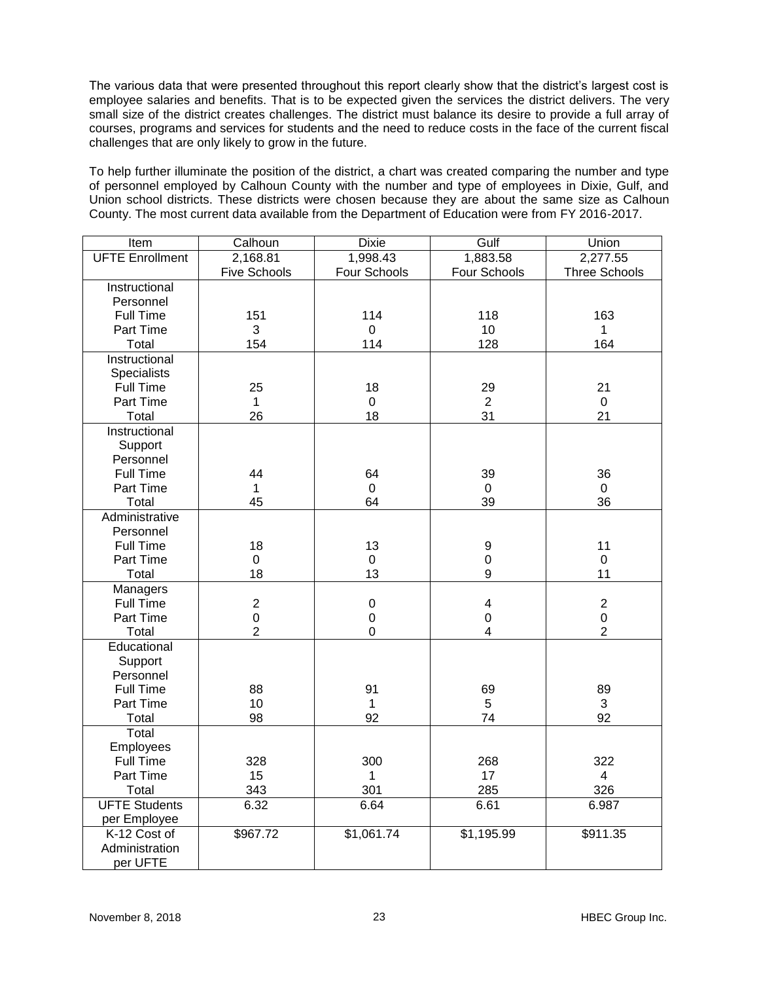The various data that were presented throughout this report clearly show that the district's largest cost is employee salaries and benefits. That is to be expected given the services the district delivers. The very small size of the district creates challenges. The district must balance its desire to provide a full array of courses, programs and services for students and the need to reduce costs in the face of the current fiscal challenges that are only likely to grow in the future.

To help further illuminate the position of the district, a chart was created comparing the number and type of personnel employed by Calhoun County with the number and type of employees in Dixie, Gulf, and Union school districts. These districts were chosen because they are about the same size as Calhoun County. The most current data available from the Department of Education were from FY 2016-2017.

| $\overline{\mathsf{Item}}$ | Calhoun             | <b>Dixie</b>   | Gulf                    | Union                |
|----------------------------|---------------------|----------------|-------------------------|----------------------|
| <b>UFTE Enrollment</b>     | 2,168.81            | 1,998.43       | 1,883.58                | 2,277.55             |
|                            | <b>Five Schools</b> | Four Schools   | Four Schools            | <b>Three Schools</b> |
| Instructional              |                     |                |                         |                      |
| Personnel                  |                     |                |                         |                      |
| <b>Full Time</b>           | 151                 | 114            | 118                     | 163                  |
| Part Time                  | 3                   | $\overline{0}$ | 10                      | $\mathbf 1$          |
| Total                      | 154                 | 114            | 128                     | 164                  |
| Instructional              |                     |                |                         |                      |
| Specialists                |                     |                |                         |                      |
| Full Time                  | 25                  | 18             | 29                      | 21                   |
| Part Time                  | $\mathbf{1}$        | $\overline{0}$ | $\overline{2}$          | $\mathbf 0$          |
| Total                      | 26                  | 18             | 31                      | 21                   |
| Instructional              |                     |                |                         |                      |
| Support                    |                     |                |                         |                      |
| Personnel                  |                     |                |                         |                      |
| Full Time                  | 44                  | 64             | 39                      | 36                   |
| Part Time                  | $\mathbf{1}$        | $\mathbf 0$    | $\mathbf 0$             | $\mathbf 0$          |
| Total                      | 45                  | 64             | 39                      | 36                   |
| Administrative             |                     |                |                         |                      |
| Personnel                  |                     |                |                         |                      |
| <b>Full Time</b>           | 18                  | 13             | 9                       | 11                   |
| Part Time                  | $\mathbf 0$         | $\mathbf 0$    | $\mathsf 0$             | $\pmb{0}$            |
| Total                      | 18                  | 13             | 9                       | 11                   |
| Managers                   |                     |                |                         |                      |
| Full Time                  | $\overline{2}$      | $\mathbf 0$    | $\overline{\mathbf{4}}$ | $\overline{2}$       |
| Part Time                  | $\mathbf 0$         | $\mathbf 0$    | $\mathbf 0$             | $\overline{0}$       |
| Total                      | $\overline{2}$      | $\mathbf 0$    | 4                       | $\overline{2}$       |
| Educational                |                     |                |                         |                      |
| Support                    |                     |                |                         |                      |
| Personnel                  |                     |                |                         |                      |
| <b>Full Time</b>           | 88                  | 91             | 69                      | 89                   |
| Part Time                  | 10                  | $\mathbf 1$    | 5                       | 3                    |
| Total                      | 98                  | 92             | 74                      | 92                   |
| Total                      |                     |                |                         |                      |
| Employees                  |                     |                |                         |                      |
| <b>Full Time</b>           | 328                 | 300            | 268                     | 322                  |
| Part Time                  | 15                  | $\mathbf{1}$   | 17                      | $\overline{4}$       |
| Total                      | 343                 | 301            | 285                     | 326                  |
| <b>UFTE Students</b>       | 6.32                | 6.64           | 6.61                    | 6.987                |
| per Employee               |                     |                |                         |                      |
| K-12 Cost of               | \$967.72            | \$1,061.74     | \$1,195.99              | \$911.35             |
| Administration             |                     |                |                         |                      |
| per UFTE                   |                     |                |                         |                      |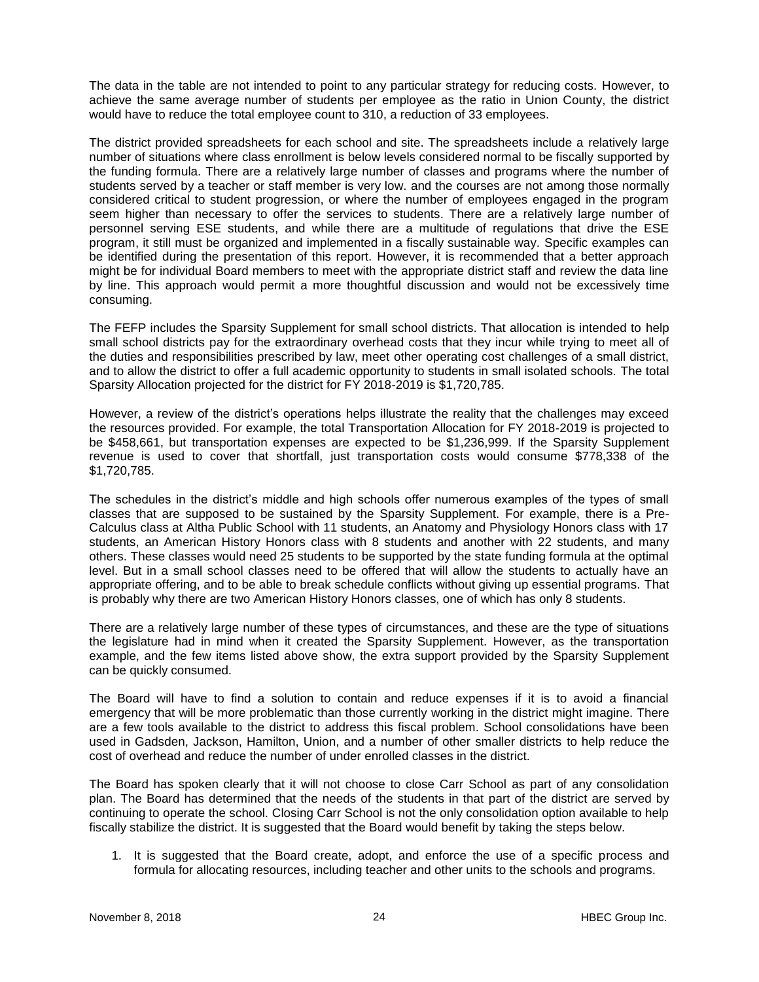The data in the table are not intended to point to any particular strategy for reducing costs. However, to achieve the same average number of students per employee as the ratio in Union County, the district would have to reduce the total employee count to 310, a reduction of 33 employees.

The district provided spreadsheets for each school and site. The spreadsheets include a relatively large number of situations where class enrollment is below levels considered normal to be fiscally supported by the funding formula. There are a relatively large number of classes and programs where the number of students served by a teacher or staff member is very low. and the courses are not among those normally considered critical to student progression, or where the number of employees engaged in the program seem higher than necessary to offer the services to students. There are a relatively large number of personnel serving ESE students, and while there are a multitude of regulations that drive the ESE program, it still must be organized and implemented in a fiscally sustainable way. Specific examples can be identified during the presentation of this report. However, it is recommended that a better approach might be for individual Board members to meet with the appropriate district staff and review the data line by line. This approach would permit a more thoughtful discussion and would not be excessively time consuming.

The FEFP includes the Sparsity Supplement for small school districts. That allocation is intended to help small school districts pay for the extraordinary overhead costs that they incur while trying to meet all of the duties and responsibilities prescribed by law, meet other operating cost challenges of a small district, and to allow the district to offer a full academic opportunity to students in small isolated schools. The total Sparsity Allocation projected for the district for FY 2018-2019 is \$1,720,785.

However, a review of the district's operations helps illustrate the reality that the challenges may exceed the resources provided. For example, the total Transportation Allocation for FY 2018-2019 is projected to be \$458,661, but transportation expenses are expected to be \$1,236,999. If the Sparsity Supplement revenue is used to cover that shortfall, just transportation costs would consume \$778,338 of the \$1,720,785.

The schedules in the district's middle and high schools offer numerous examples of the types of small classes that are supposed to be sustained by the Sparsity Supplement. For example, there is a Pre-Calculus class at Altha Public School with 11 students, an Anatomy and Physiology Honors class with 17 students, an American History Honors class with 8 students and another with 22 students, and many others. These classes would need 25 students to be supported by the state funding formula at the optimal level. But in a small school classes need to be offered that will allow the students to actually have an appropriate offering, and to be able to break schedule conflicts without giving up essential programs. That is probably why there are two American History Honors classes, one of which has only 8 students.

There are a relatively large number of these types of circumstances, and these are the type of situations the legislature had in mind when it created the Sparsity Supplement. However, as the transportation example, and the few items listed above show, the extra support provided by the Sparsity Supplement can be quickly consumed.

The Board will have to find a solution to contain and reduce expenses if it is to avoid a financial emergency that will be more problematic than those currently working in the district might imagine. There are a few tools available to the district to address this fiscal problem. School consolidations have been used in Gadsden, Jackson, Hamilton, Union, and a number of other smaller districts to help reduce the cost of overhead and reduce the number of under enrolled classes in the district.

The Board has spoken clearly that it will not choose to close Carr School as part of any consolidation plan. The Board has determined that the needs of the students in that part of the district are served by continuing to operate the school. Closing Carr School is not the only consolidation option available to help fiscally stabilize the district. It is suggested that the Board would benefit by taking the steps below.

1. It is suggested that the Board create, adopt, and enforce the use of a specific process and formula for allocating resources, including teacher and other units to the schools and programs.